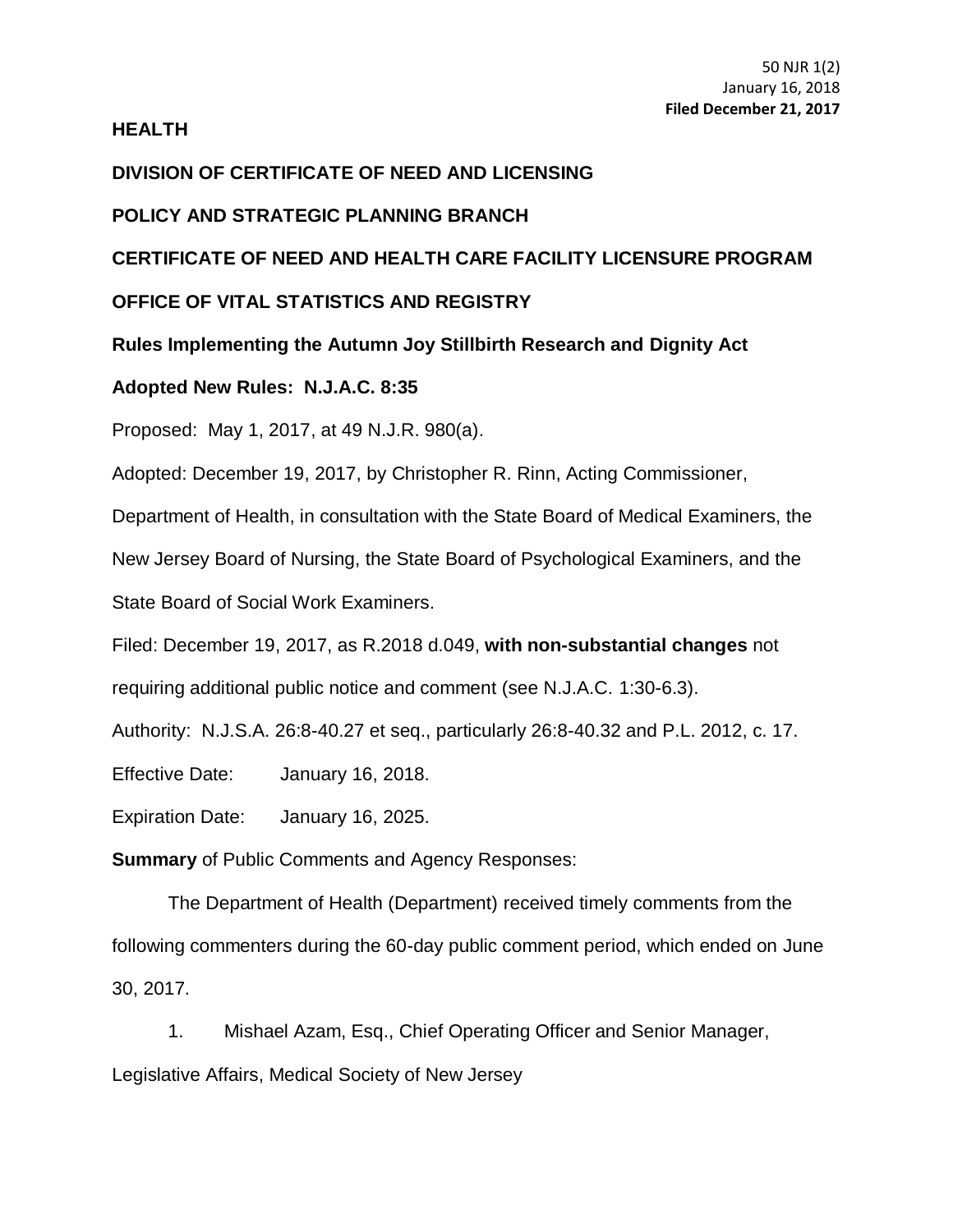## **HEALTH**

# **DIVISION OF CERTIFICATE OF NEED AND LICENSING**

# **POLICY AND STRATEGIC PLANNING BRANCH**

# **CERTIFICATE OF NEED AND HEALTH CARE FACILITY LICENSURE PROGRAM**

# **OFFICE OF VITAL STATISTICS AND REGISTRY**

**Rules Implementing the Autumn Joy Stillbirth Research and Dignity Act**

# **Adopted New Rules: N.J.A.C. 8:35**

Proposed: May 1, 2017, at 49 N.J.R. 980(a).

Adopted: December 19, 2017, by Christopher R. Rinn, Acting Commissioner,

Department of Health, in consultation with the State Board of Medical Examiners, the

New Jersey Board of Nursing, the State Board of Psychological Examiners, and the

State Board of Social Work Examiners.

Filed: December 19, 2017, as R.2018 d.049, **with non-substantial changes** not requiring additional public notice and comment (see N.J.A.C. 1:30-6.3).

Authority: N.J.S.A. 26:8-40.27 et seq., particularly 26:8-40.32 and P.L. 2012, c. 17.

Effective Date: January 16, 2018.

Expiration Date: January 16, 2025.

**Summary** of Public Comments and Agency Responses:

The Department of Health (Department) received timely comments from the following commenters during the 60-day public comment period, which ended on June 30, 2017.

1. Mishael Azam, Esq., Chief Operating Officer and Senior Manager, Legislative Affairs, Medical Society of New Jersey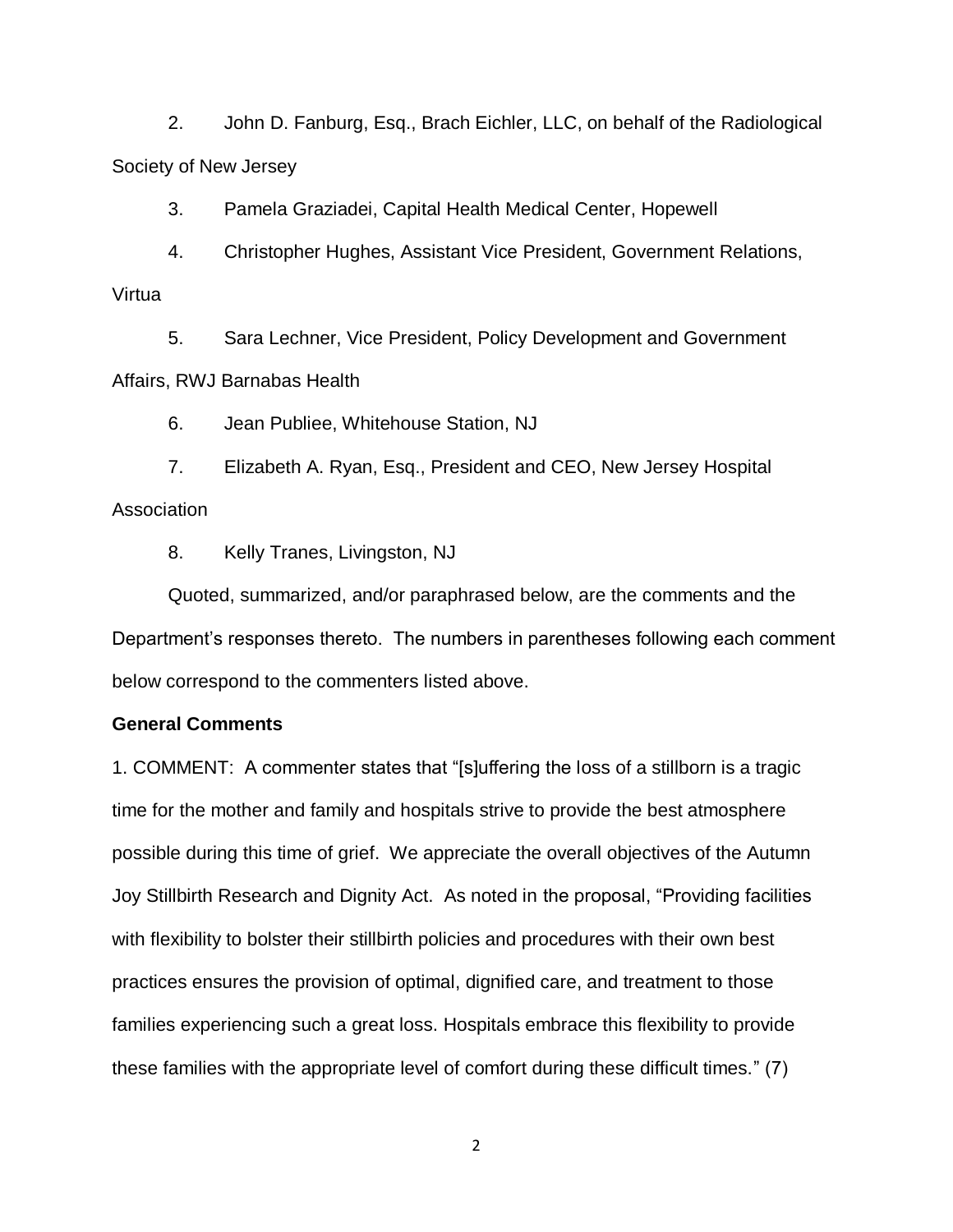2. John D. Fanburg, Esq., Brach Eichler, LLC, on behalf of the Radiological Society of New Jersey

3. Pamela Graziadei, Capital Health Medical Center, Hopewell

4. Christopher Hughes, Assistant Vice President, Government Relations, Virtua

5. Sara Lechner, Vice President, Policy Development and Government Affairs, RWJ Barnabas Health

6. Jean Publiee, Whitehouse Station, NJ

7. Elizabeth A. Ryan, Esq., President and CEO, New Jersey Hospital Association

8. Kelly Tranes, Livingston, NJ

Quoted, summarized, and/or paraphrased below, are the comments and the Department's responses thereto. The numbers in parentheses following each comment below correspond to the commenters listed above.

#### **General Comments**

1. COMMENT: A commenter states that "[s]uffering the loss of a stillborn is a tragic time for the mother and family and hospitals strive to provide the best atmosphere possible during this time of grief. We appreciate the overall objectives of the Autumn Joy Stillbirth Research and Dignity Act. As noted in the proposal, "Providing facilities with flexibility to bolster their stillbirth policies and procedures with their own best practices ensures the provision of optimal, dignified care, and treatment to those families experiencing such a great loss. Hospitals embrace this flexibility to provide these families with the appropriate level of comfort during these difficult times." (7)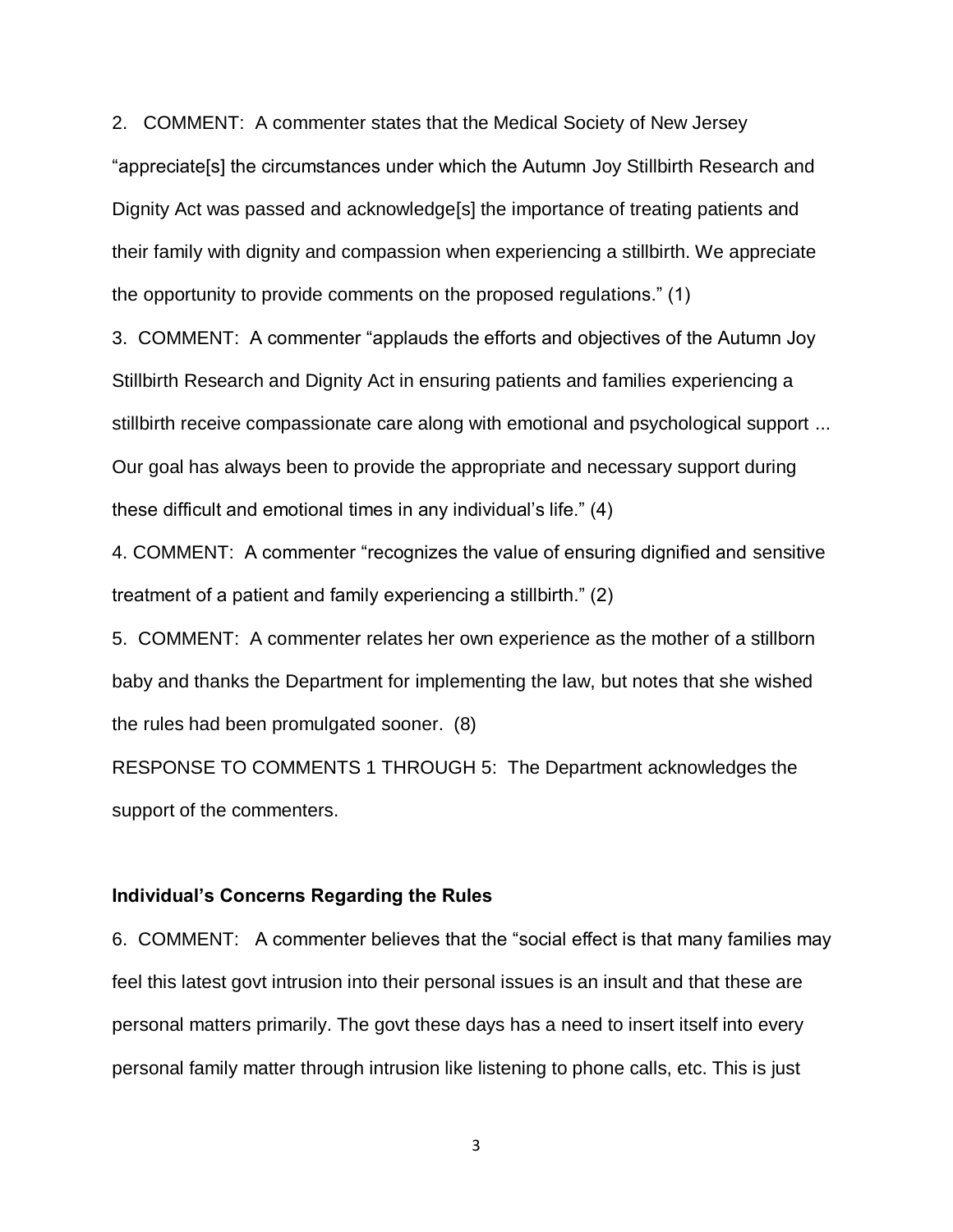2. COMMENT: A commenter states that the Medical Society of New Jersey "appreciate[s] the circumstances under which the Autumn Joy Stillbirth Research and Dignity Act was passed and acknowledge[s] the importance of treating patients and their family with dignity and compassion when experiencing a stillbirth. We appreciate the opportunity to provide comments on the proposed regulations." (1)

3. COMMENT: A commenter "applauds the efforts and objectives of the Autumn Joy Stillbirth Research and Dignity Act in ensuring patients and families experiencing a stillbirth receive compassionate care along with emotional and psychological support ... Our goal has always been to provide the appropriate and necessary support during these difficult and emotional times in any individual's life." (4)

4. COMMENT: A commenter "recognizes the value of ensuring dignified and sensitive treatment of a patient and family experiencing a stillbirth." (2)

5. COMMENT: A commenter relates her own experience as the mother of a stillborn baby and thanks the Department for implementing the law, but notes that she wished the rules had been promulgated sooner. (8)

RESPONSE TO COMMENTS 1 THROUGH 5: The Department acknowledges the support of the commenters.

#### **Individual's Concerns Regarding the Rules**

6. COMMENT: A commenter believes that the "social effect is that many families may feel this latest govt intrusion into their personal issues is an insult and that these are personal matters primarily. The govt these days has a need to insert itself into every personal family matter through intrusion like listening to phone calls, etc. This is just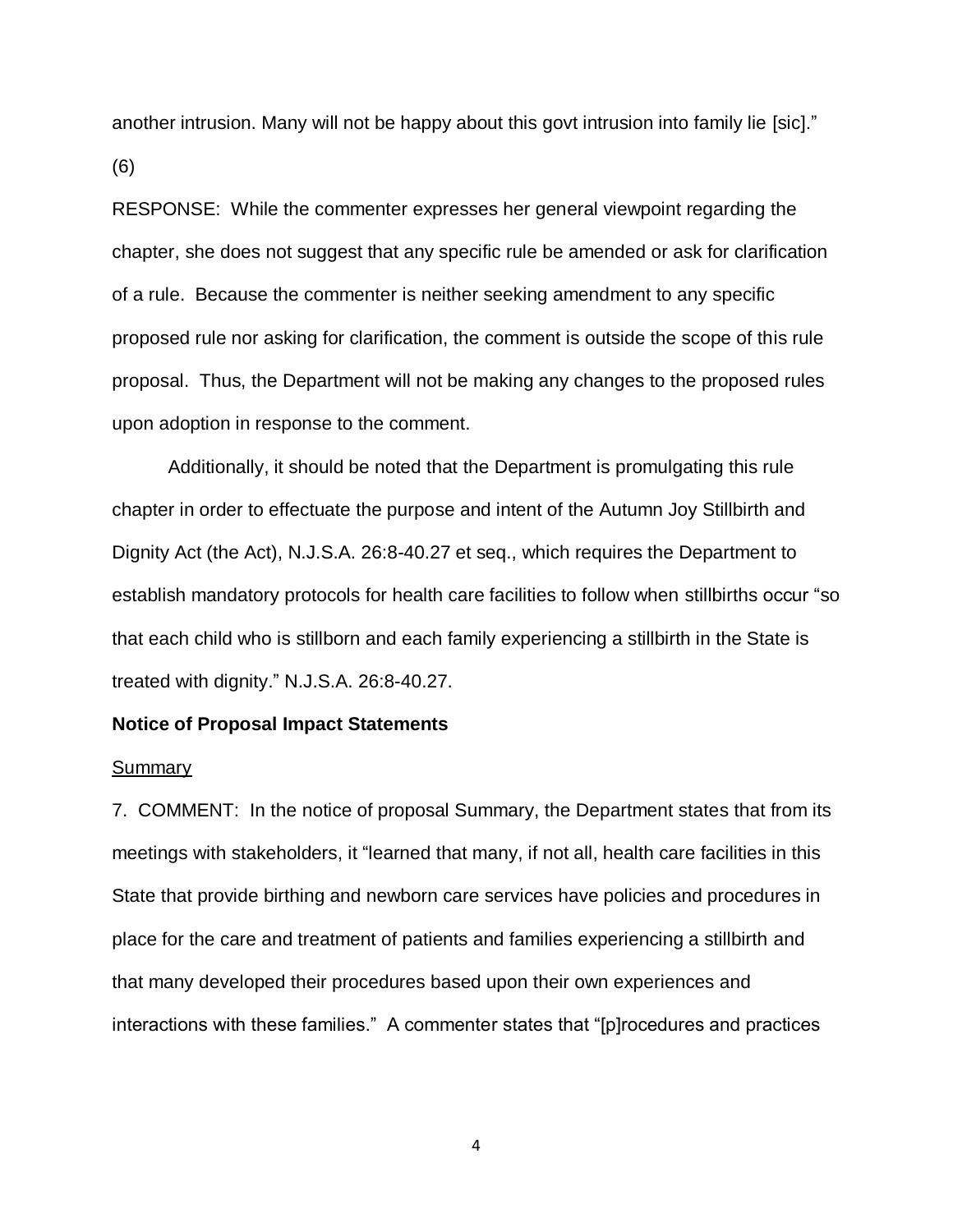another intrusion. Many will not be happy about this govt intrusion into family lie [sic]." (6)

RESPONSE: While the commenter expresses her general viewpoint regarding the chapter, she does not suggest that any specific rule be amended or ask for clarification of a rule. Because the commenter is neither seeking amendment to any specific proposed rule nor asking for clarification, the comment is outside the scope of this rule proposal. Thus, the Department will not be making any changes to the proposed rules upon adoption in response to the comment.

Additionally, it should be noted that the Department is promulgating this rule chapter in order to effectuate the purpose and intent of the Autumn Joy Stillbirth and Dignity Act (the Act), N.J.S.A. 26:8-40.27 et seq., which requires the Department to establish mandatory protocols for health care facilities to follow when stillbirths occur "so that each child who is stillborn and each family experiencing a stillbirth in the State is treated with dignity." N.J.S.A. 26:8-40.27.

#### **Notice of Proposal Impact Statements**

#### Summary

7. COMMENT: In the notice of proposal Summary, the Department states that from its meetings with stakeholders, it "learned that many, if not all, health care facilities in this State that provide birthing and newborn care services have policies and procedures in place for the care and treatment of patients and families experiencing a stillbirth and that many developed their procedures based upon their own experiences and interactions with these families." A commenter states that "[p]rocedures and practices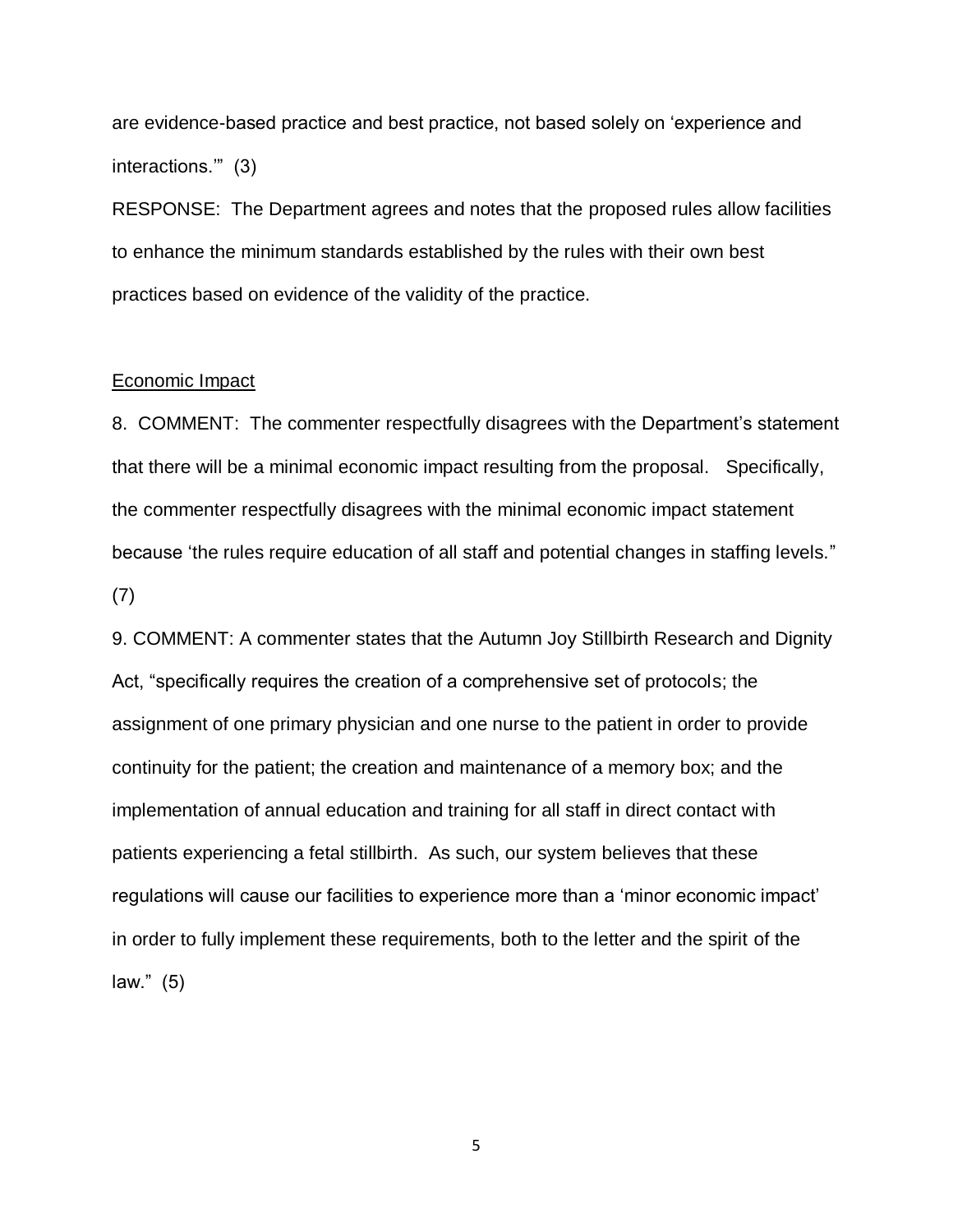are evidence-based practice and best practice, not based solely on 'experience and interactions.'" (3)

RESPONSE: The Department agrees and notes that the proposed rules allow facilities to enhance the minimum standards established by the rules with their own best practices based on evidence of the validity of the practice.

#### Economic Impact

8. COMMENT: The commenter respectfully disagrees with the Department's statement that there will be a minimal economic impact resulting from the proposal. Specifically, the commenter respectfully disagrees with the minimal economic impact statement because 'the rules require education of all staff and potential changes in staffing levels." (7)

9. COMMENT: A commenter states that the Autumn Joy Stillbirth Research and Dignity Act, "specifically requires the creation of a comprehensive set of protocols; the assignment of one primary physician and one nurse to the patient in order to provide continuity for the patient; the creation and maintenance of a memory box; and the implementation of annual education and training for all staff in direct contact with patients experiencing a fetal stillbirth. As such, our system believes that these regulations will cause our facilities to experience more than a 'minor economic impact' in order to fully implement these requirements, both to the letter and the spirit of the law." (5)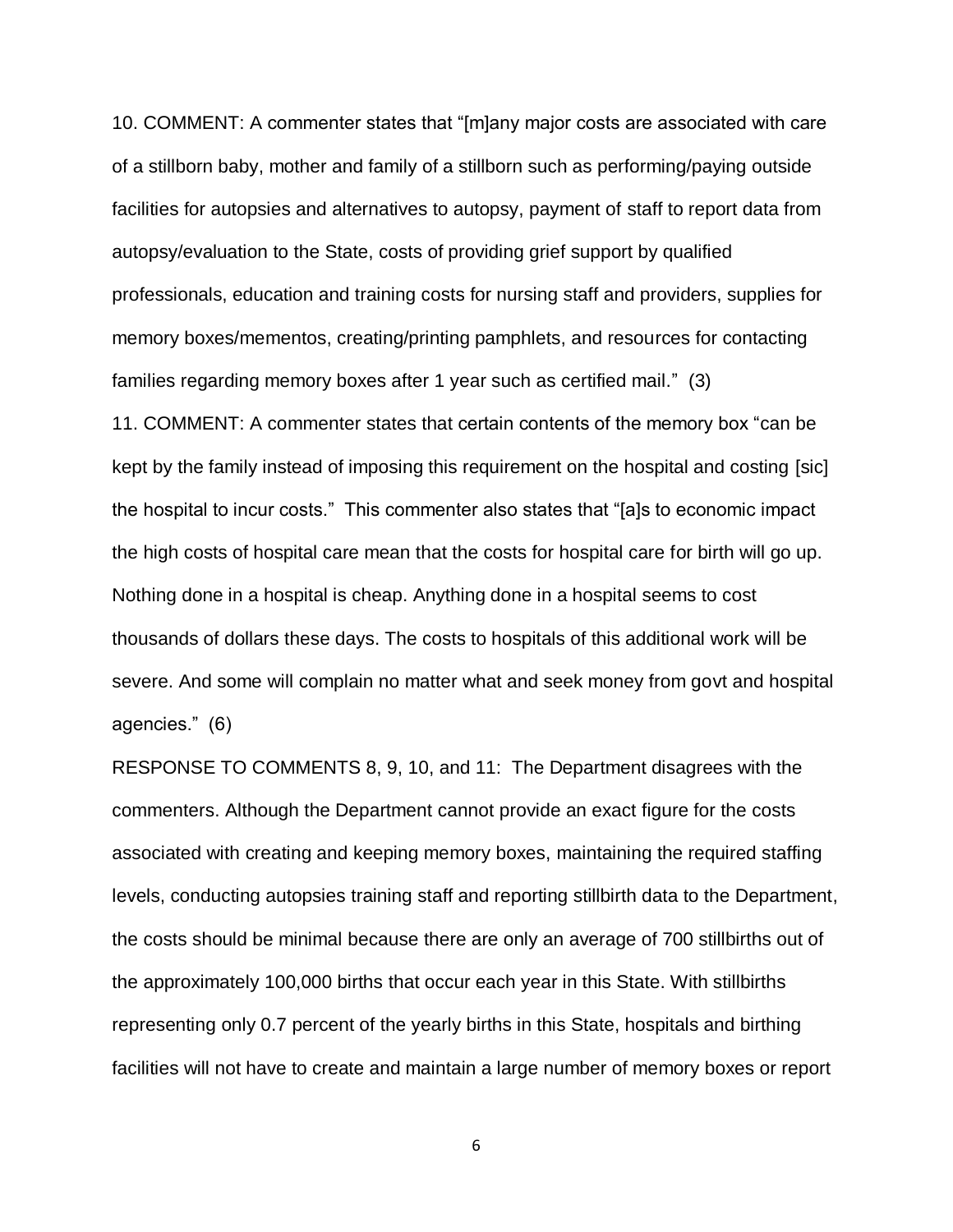10. COMMENT: A commenter states that "[m]any major costs are associated with care of a stillborn baby, mother and family of a stillborn such as performing/paying outside facilities for autopsies and alternatives to autopsy, payment of staff to report data from autopsy/evaluation to the State, costs of providing grief support by qualified professionals, education and training costs for nursing staff and providers, supplies for memory boxes/mementos, creating/printing pamphlets, and resources for contacting families regarding memory boxes after 1 year such as certified mail." (3)

11. COMMENT: A commenter states that certain contents of the memory box "can be kept by the family instead of imposing this requirement on the hospital and costing [sic] the hospital to incur costs." This commenter also states that "[a]s to economic impact the high costs of hospital care mean that the costs for hospital care for birth will go up. Nothing done in a hospital is cheap. Anything done in a hospital seems to cost thousands of dollars these days. The costs to hospitals of this additional work will be severe. And some will complain no matter what and seek money from govt and hospital agencies." (6)

RESPONSE TO COMMENTS 8, 9, 10, and 11: The Department disagrees with the commenters. Although the Department cannot provide an exact figure for the costs associated with creating and keeping memory boxes, maintaining the required staffing levels, conducting autopsies training staff and reporting stillbirth data to the Department, the costs should be minimal because there are only an average of 700 stillbirths out of the approximately 100,000 births that occur each year in this State. With stillbirths representing only 0.7 percent of the yearly births in this State, hospitals and birthing facilities will not have to create and maintain a large number of memory boxes or report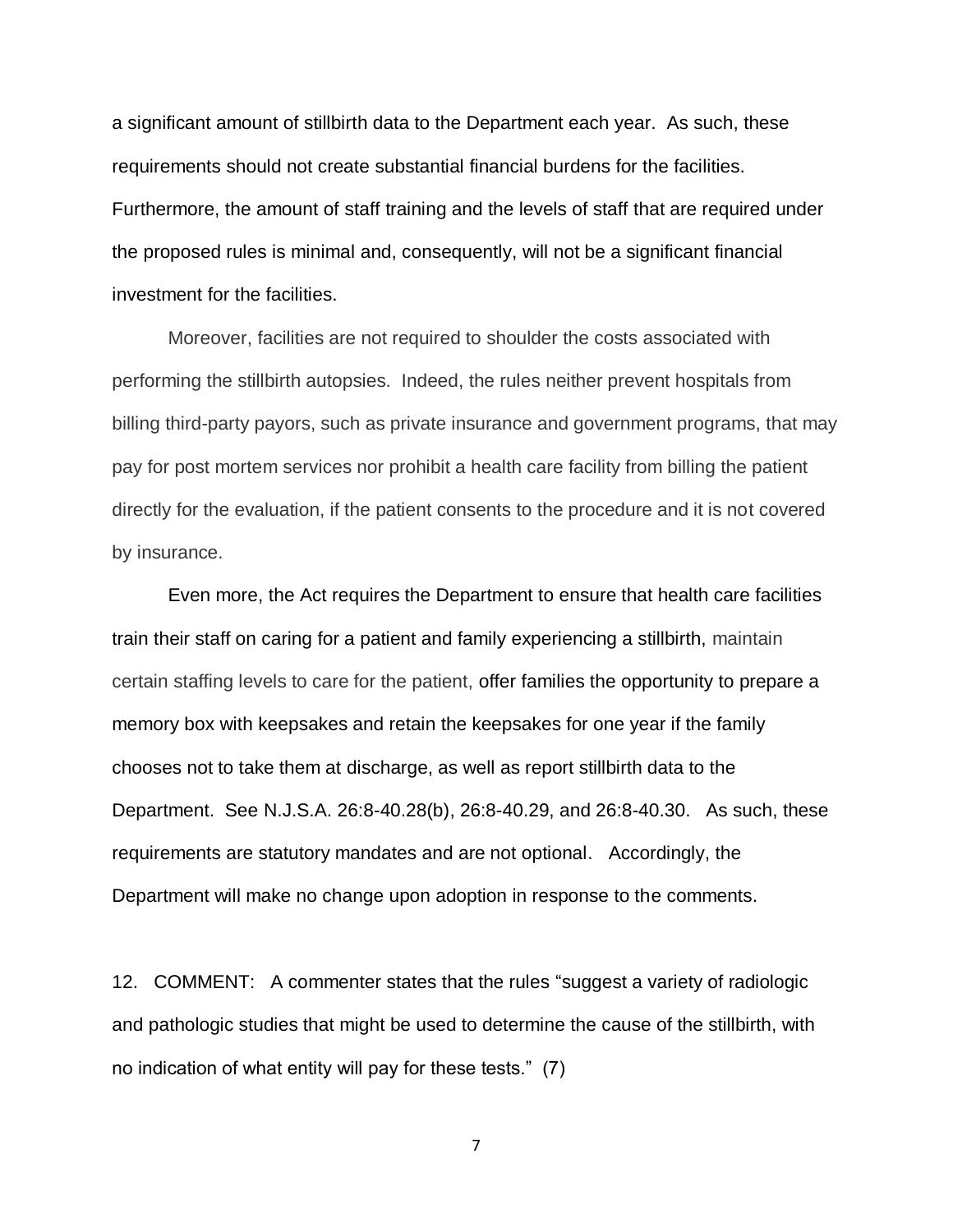a significant amount of stillbirth data to the Department each year. As such, these requirements should not create substantial financial burdens for the facilities. Furthermore, the amount of staff training and the levels of staff that are required under the proposed rules is minimal and, consequently, will not be a significant financial investment for the facilities.

Moreover, facilities are not required to shoulder the costs associated with performing the stillbirth autopsies. Indeed, the rules neither prevent hospitals from billing third-party payors, such as private insurance and government programs, that may pay for post mortem services nor prohibit a health care facility from billing the patient directly for the evaluation, if the patient consents to the procedure and it is not covered by insurance.

Even more, the Act requires the Department to ensure that health care facilities train their staff on caring for a patient and family experiencing a stillbirth, maintain certain staffing levels to care for the patient, offer families the opportunity to prepare a memory box with keepsakes and retain the keepsakes for one year if the family chooses not to take them at discharge, as well as report stillbirth data to the Department. See N.J.S.A. 26:8-40.28(b), 26:8-40.29, and 26:8-40.30. As such, these requirements are statutory mandates and are not optional. Accordingly, the Department will make no change upon adoption in response to the comments.

12. COMMENT: A commenter states that the rules "suggest a variety of radiologic and pathologic studies that might be used to determine the cause of the stillbirth, with no indication of what entity will pay for these tests." (7)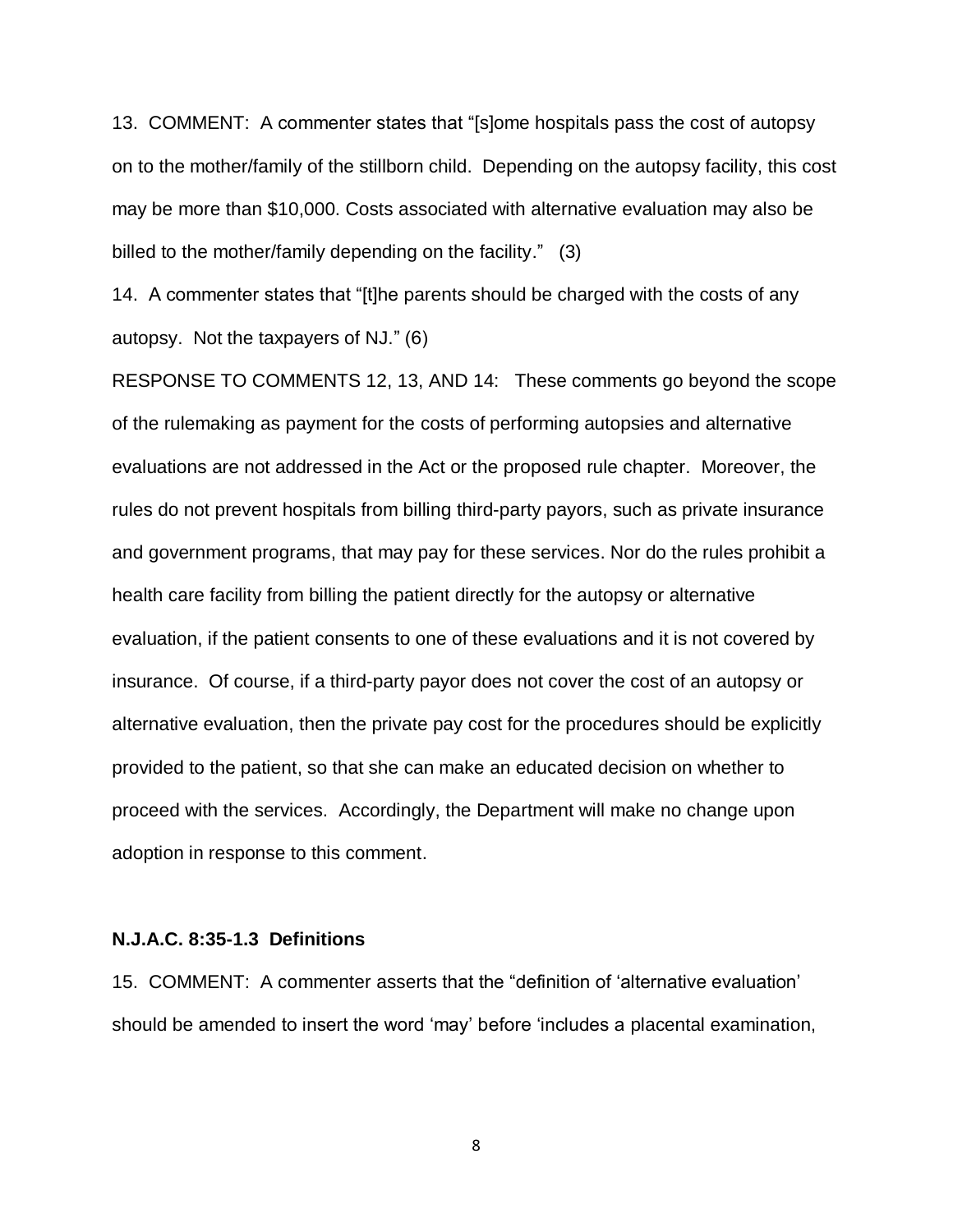13. COMMENT: A commenter states that "[s]ome hospitals pass the cost of autopsy on to the mother/family of the stillborn child. Depending on the autopsy facility, this cost may be more than \$10,000. Costs associated with alternative evaluation may also be billed to the mother/family depending on the facility." (3)

14. A commenter states that "[t]he parents should be charged with the costs of any autopsy. Not the taxpayers of NJ." (6)

RESPONSE TO COMMENTS 12, 13, AND 14: These comments go beyond the scope of the rulemaking as payment for the costs of performing autopsies and alternative evaluations are not addressed in the Act or the proposed rule chapter. Moreover, the rules do not prevent hospitals from billing third-party payors, such as private insurance and government programs, that may pay for these services. Nor do the rules prohibit a health care facility from billing the patient directly for the autopsy or alternative evaluation, if the patient consents to one of these evaluations and it is not covered by insurance. Of course, if a third-party payor does not cover the cost of an autopsy or alternative evaluation, then the private pay cost for the procedures should be explicitly provided to the patient, so that she can make an educated decision on whether to proceed with the services. Accordingly, the Department will make no change upon adoption in response to this comment.

#### **N.J.A.C. 8:35-1.3 Definitions**

15. COMMENT: A commenter asserts that the "definition of 'alternative evaluation' should be amended to insert the word 'may' before 'includes a placental examination,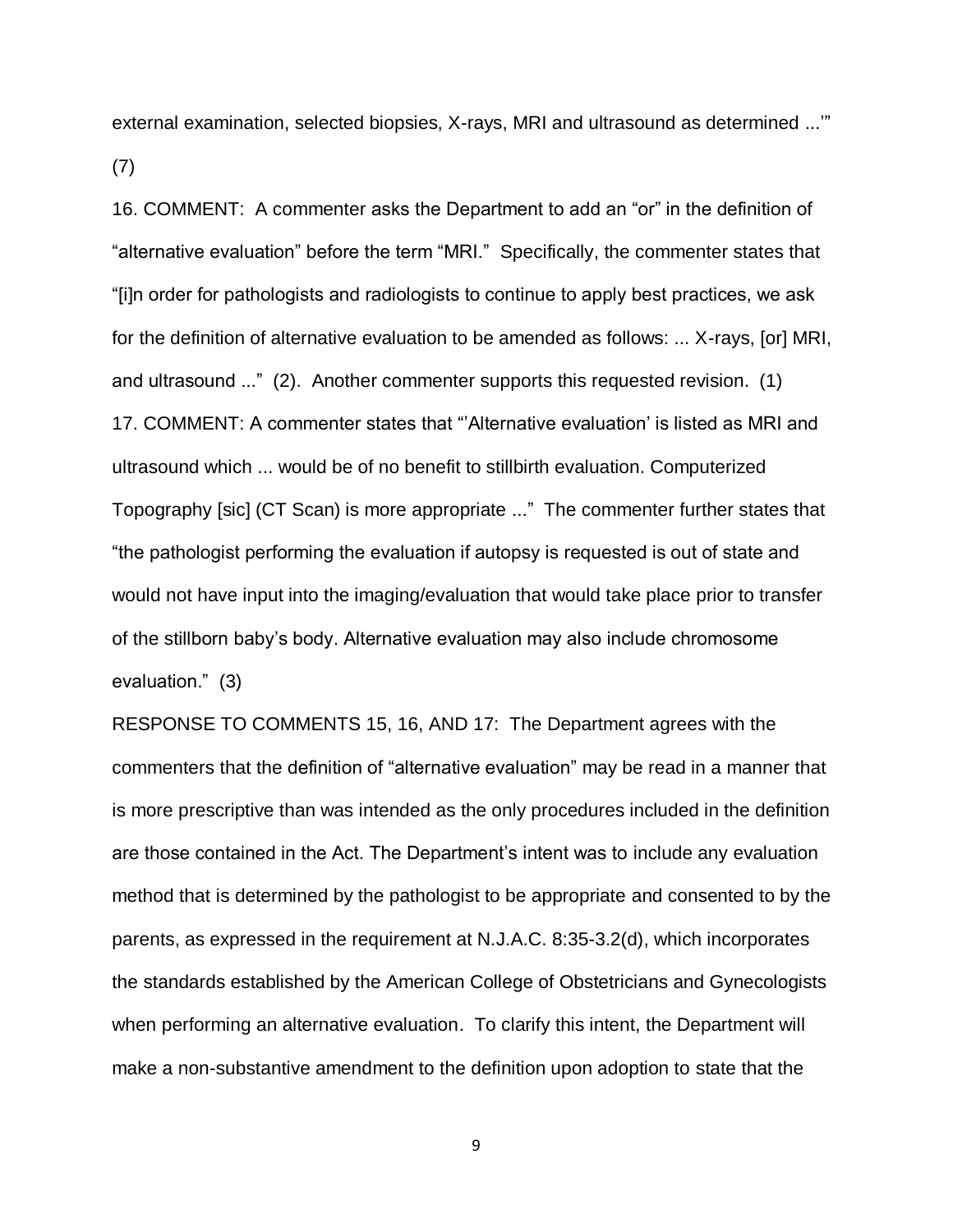external examination, selected biopsies, X-rays, MRI and ultrasound as determined ...'" (7)

16. COMMENT: A commenter asks the Department to add an "or" in the definition of "alternative evaluation" before the term "MRI." Specifically, the commenter states that "[i]n order for pathologists and radiologists to continue to apply best practices, we ask for the definition of alternative evaluation to be amended as follows: ... X-rays, [or] MRI, and ultrasound ..." (2). Another commenter supports this requested revision. (1) 17. COMMENT: A commenter states that "'Alternative evaluation' is listed as MRI and ultrasound which ... would be of no benefit to stillbirth evaluation. Computerized Topography [sic] (CT Scan) is more appropriate ..." The commenter further states that "the pathologist performing the evaluation if autopsy is requested is out of state and would not have input into the imaging/evaluation that would take place prior to transfer of the stillborn baby's body. Alternative evaluation may also include chromosome evaluation." (3)

RESPONSE TO COMMENTS 15, 16, AND 17: The Department agrees with the commenters that the definition of "alternative evaluation" may be read in a manner that is more prescriptive than was intended as the only procedures included in the definition are those contained in the Act. The Department's intent was to include any evaluation method that is determined by the pathologist to be appropriate and consented to by the parents, as expressed in the requirement at N.J.A.C. 8:35-3.2(d), which incorporates the standards established by the American College of Obstetricians and Gynecologists when performing an alternative evaluation. To clarify this intent, the Department will make a non-substantive amendment to the definition upon adoption to state that the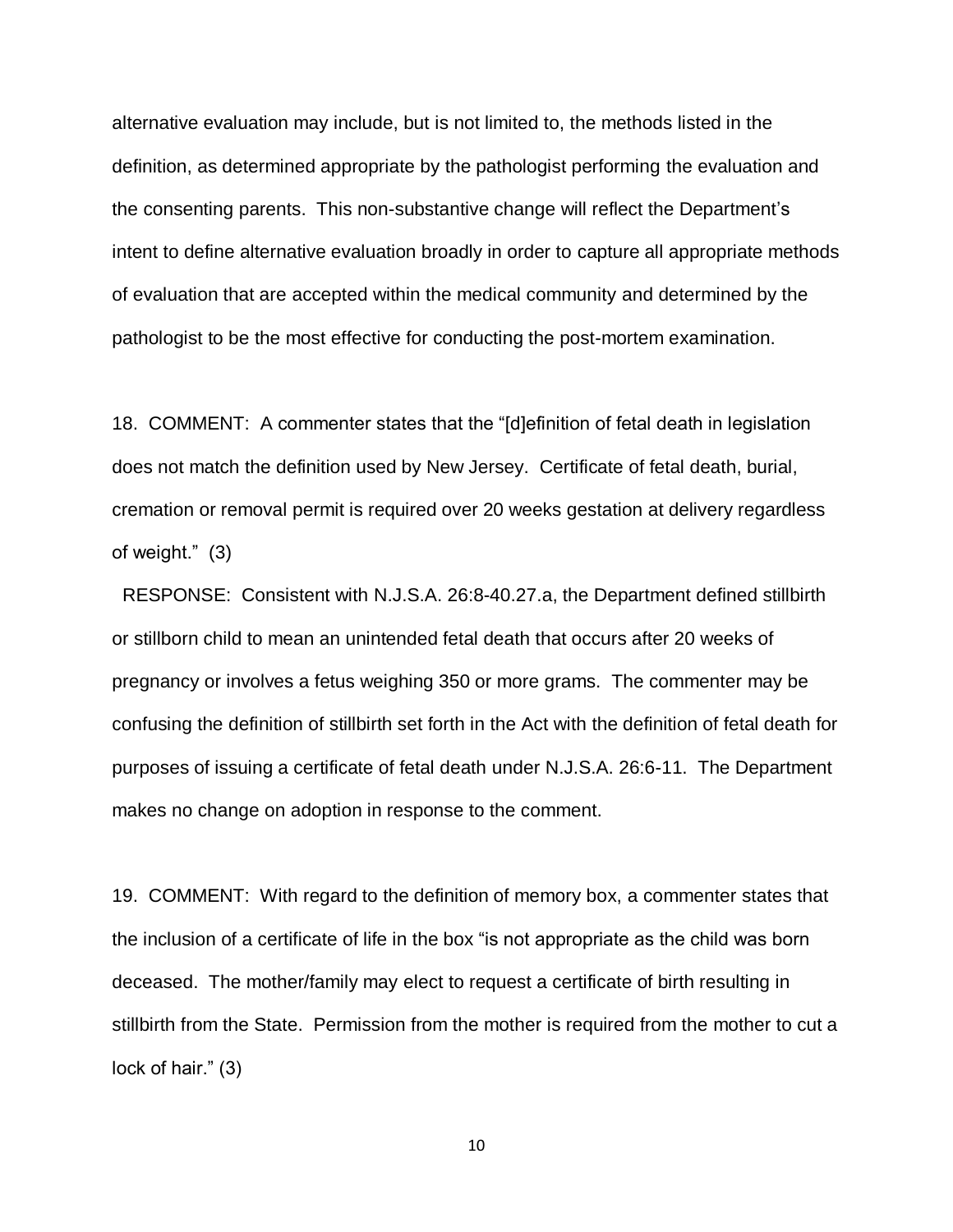alternative evaluation may include, but is not limited to, the methods listed in the definition, as determined appropriate by the pathologist performing the evaluation and the consenting parents. This non-substantive change will reflect the Department's intent to define alternative evaluation broadly in order to capture all appropriate methods of evaluation that are accepted within the medical community and determined by the pathologist to be the most effective for conducting the post-mortem examination.

18. COMMENT: A commenter states that the "[d]efinition of fetal death in legislation does not match the definition used by New Jersey. Certificate of fetal death, burial, cremation or removal permit is required over 20 weeks gestation at delivery regardless of weight." (3)

 RESPONSE: Consistent with N.J.S.A. 26:8-40.27.a, the Department defined stillbirth or stillborn child to mean an unintended fetal death that occurs after 20 weeks of pregnancy or involves a fetus weighing 350 or more grams. The commenter may be confusing the definition of stillbirth set forth in the Act with the definition of fetal death for purposes of issuing a certificate of fetal death under N.J.S.A. 26:6-11. The Department makes no change on adoption in response to the comment.

19. COMMENT: With regard to the definition of memory box, a commenter states that the inclusion of a certificate of life in the box "is not appropriate as the child was born deceased. The mother/family may elect to request a certificate of birth resulting in stillbirth from the State. Permission from the mother is required from the mother to cut a lock of hair." (3)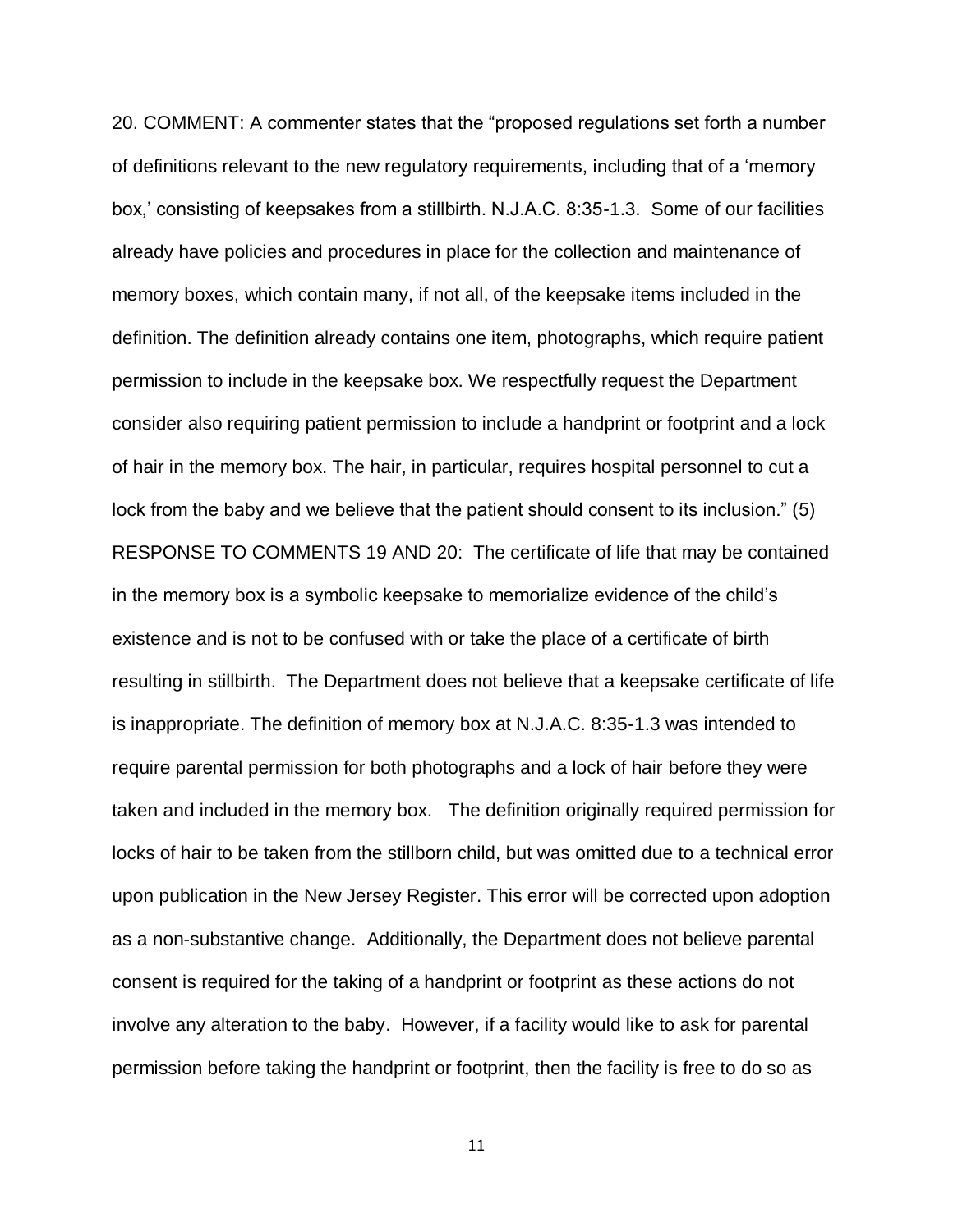20. COMMENT: A commenter states that the "proposed regulations set forth a number of definitions relevant to the new regulatory requirements, including that of a 'memory box,' consisting of keepsakes from a stillbirth. N.J.A.C. 8:35-1.3. Some of our facilities already have policies and procedures in place for the collection and maintenance of memory boxes, which contain many, if not all, of the keepsake items included in the definition. The definition already contains one item, photographs, which require patient permission to include in the keepsake box. We respectfully request the Department consider also requiring patient permission to include a handprint or footprint and a lock of hair in the memory box. The hair, in particular, requires hospital personnel to cut a lock from the baby and we believe that the patient should consent to its inclusion." (5) RESPONSE TO COMMENTS 19 AND 20: The certificate of life that may be contained in the memory box is a symbolic keepsake to memorialize evidence of the child's existence and is not to be confused with or take the place of a certificate of birth resulting in stillbirth. The Department does not believe that a keepsake certificate of life is inappropriate. The definition of memory box at N.J.A.C. 8:35-1.3 was intended to require parental permission for both photographs and a lock of hair before they were taken and included in the memory box. The definition originally required permission for locks of hair to be taken from the stillborn child, but was omitted due to a technical error upon publication in the New Jersey Register. This error will be corrected upon adoption as a non-substantive change. Additionally, the Department does not believe parental consent is required for the taking of a handprint or footprint as these actions do not involve any alteration to the baby. However, if a facility would like to ask for parental permission before taking the handprint or footprint, then the facility is free to do so as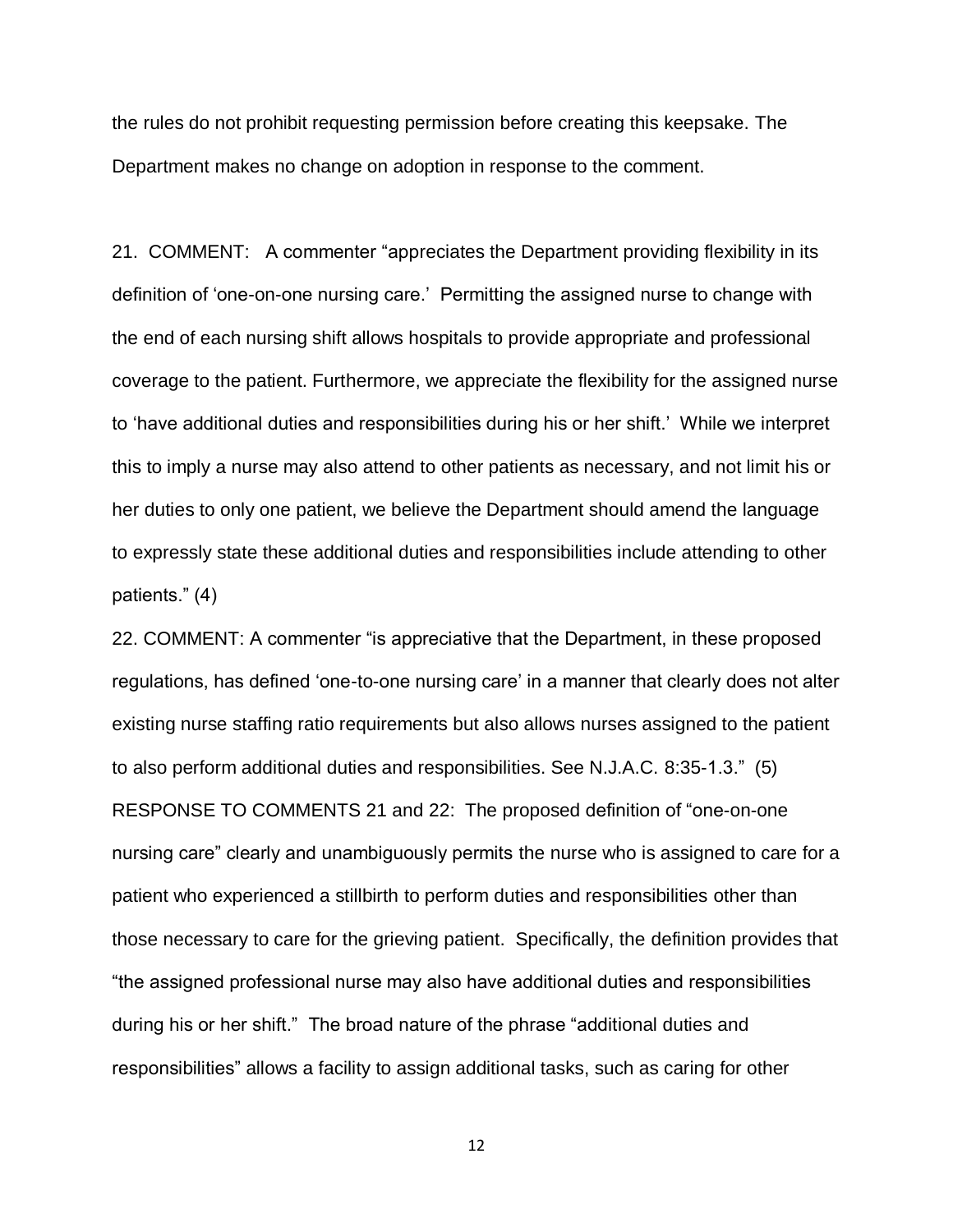the rules do not prohibit requesting permission before creating this keepsake. The Department makes no change on adoption in response to the comment.

21. COMMENT: A commenter "appreciates the Department providing flexibility in its definition of 'one-on-one nursing care.' Permitting the assigned nurse to change with the end of each nursing shift allows hospitals to provide appropriate and professional coverage to the patient. Furthermore, we appreciate the flexibility for the assigned nurse to 'have additional duties and responsibilities during his or her shift.' While we interpret this to imply a nurse may also attend to other patients as necessary, and not limit his or her duties to only one patient, we believe the Department should amend the language to expressly state these additional duties and responsibilities include attending to other patients." (4)

22. COMMENT: A commenter "is appreciative that the Department, in these proposed regulations, has defined 'one-to-one nursing care' in a manner that clearly does not alter existing nurse staffing ratio requirements but also allows nurses assigned to the patient to also perform additional duties and responsibilities. See N.J.A.C. 8:35-1.3." (5) RESPONSE TO COMMENTS 21 and 22: The proposed definition of "one-on-one nursing care" clearly and unambiguously permits the nurse who is assigned to care for a patient who experienced a stillbirth to perform duties and responsibilities other than those necessary to care for the grieving patient. Specifically, the definition provides that "the assigned professional nurse may also have additional duties and responsibilities during his or her shift." The broad nature of the phrase "additional duties and responsibilities" allows a facility to assign additional tasks, such as caring for other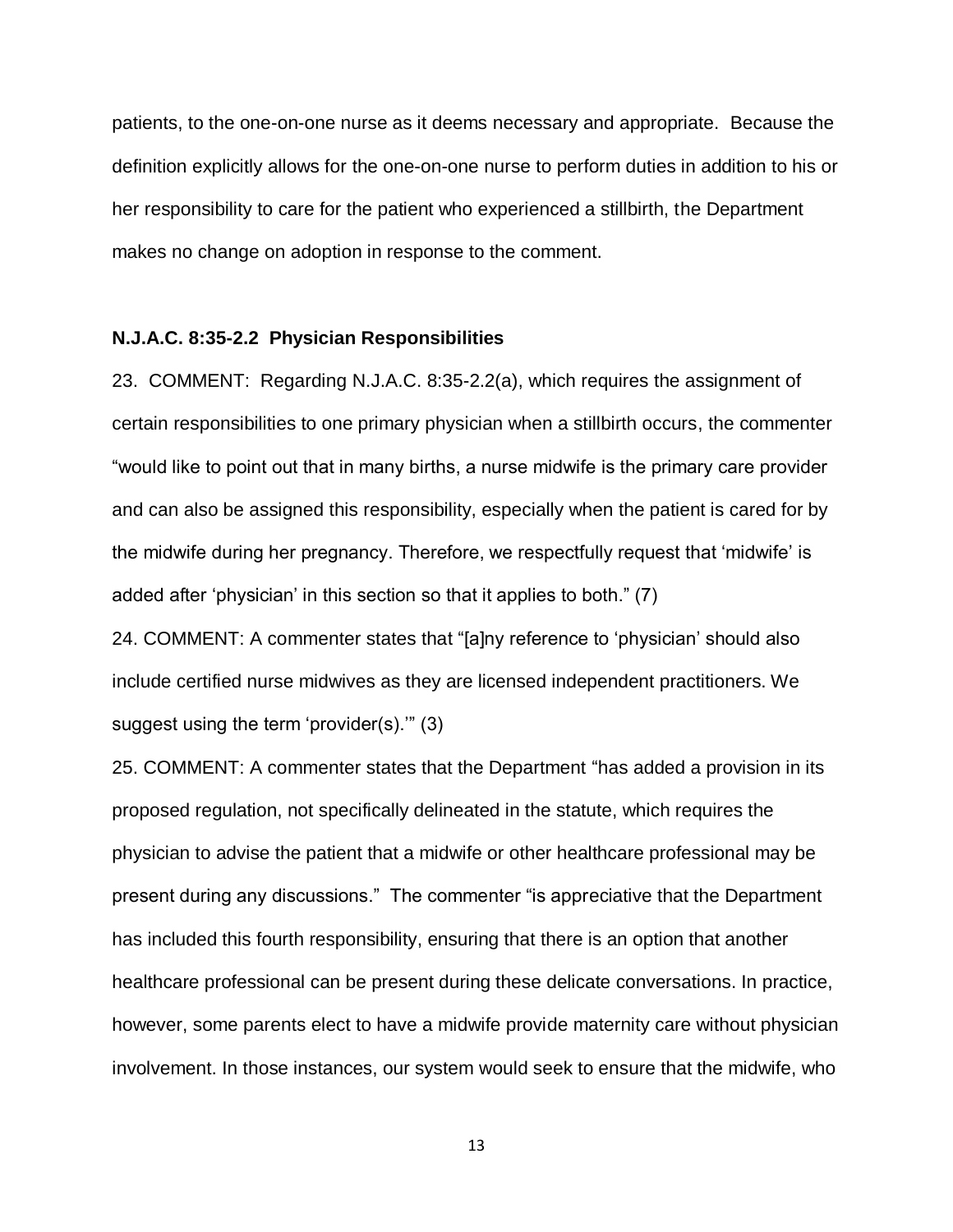patients, to the one-on-one nurse as it deems necessary and appropriate. Because the definition explicitly allows for the one-on-one nurse to perform duties in addition to his or her responsibility to care for the patient who experienced a stillbirth, the Department makes no change on adoption in response to the comment.

#### **N.J.A.C. 8:35-2.2 Physician Responsibilities**

23. COMMENT: Regarding N.J.A.C. 8:35-2.2(a), which requires the assignment of certain responsibilities to one primary physician when a stillbirth occurs, the commenter "would like to point out that in many births, a nurse midwife is the primary care provider and can also be assigned this responsibility, especially when the patient is cared for by the midwife during her pregnancy. Therefore, we respectfully request that 'midwife' is added after 'physician' in this section so that it applies to both." (7)

24. COMMENT: A commenter states that "[a]ny reference to 'physician' should also include certified nurse midwives as they are licensed independent practitioners. We suggest using the term 'provider(s).'" (3)

25. COMMENT: A commenter states that the Department "has added a provision in its proposed regulation, not specifically delineated in the statute, which requires the physician to advise the patient that a midwife or other healthcare professional may be present during any discussions." The commenter "is appreciative that the Department has included this fourth responsibility, ensuring that there is an option that another healthcare professional can be present during these delicate conversations. In practice, however, some parents elect to have a midwife provide maternity care without physician involvement. In those instances, our system would seek to ensure that the midwife, who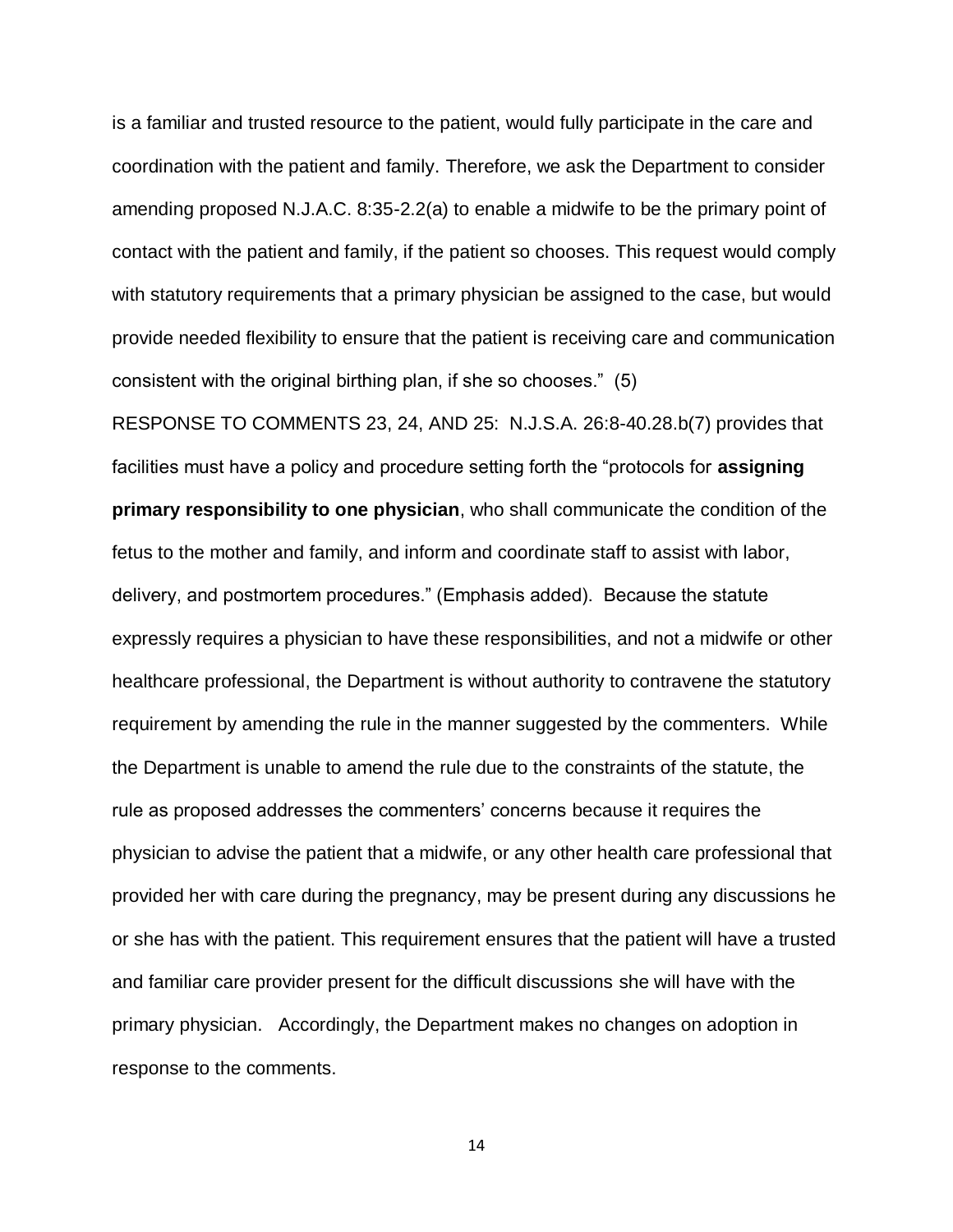is a familiar and trusted resource to the patient, would fully participate in the care and coordination with the patient and family. Therefore, we ask the Department to consider amending proposed N.J.A.C. 8:35-2.2(a) to enable a midwife to be the primary point of contact with the patient and family, if the patient so chooses. This request would comply with statutory requirements that a primary physician be assigned to the case, but would provide needed flexibility to ensure that the patient is receiving care and communication consistent with the original birthing plan, if she so chooses." (5)

RESPONSE TO COMMENTS 23, 24, AND 25: N.J.S.A. 26:8-40.28.b(7) provides that facilities must have a policy and procedure setting forth the "protocols for **assigning primary responsibility to one physician**, who shall communicate the condition of the fetus to the mother and family, and inform and coordinate staff to assist with labor, delivery, and postmortem procedures." (Emphasis added). Because the statute expressly requires a physician to have these responsibilities, and not a midwife or other healthcare professional, the Department is without authority to contravene the statutory requirement by amending the rule in the manner suggested by the commenters. While the Department is unable to amend the rule due to the constraints of the statute, the rule as proposed addresses the commenters' concerns because it requires the physician to advise the patient that a midwife, or any other health care professional that provided her with care during the pregnancy, may be present during any discussions he or she has with the patient. This requirement ensures that the patient will have a trusted and familiar care provider present for the difficult discussions she will have with the primary physician. Accordingly, the Department makes no changes on adoption in response to the comments.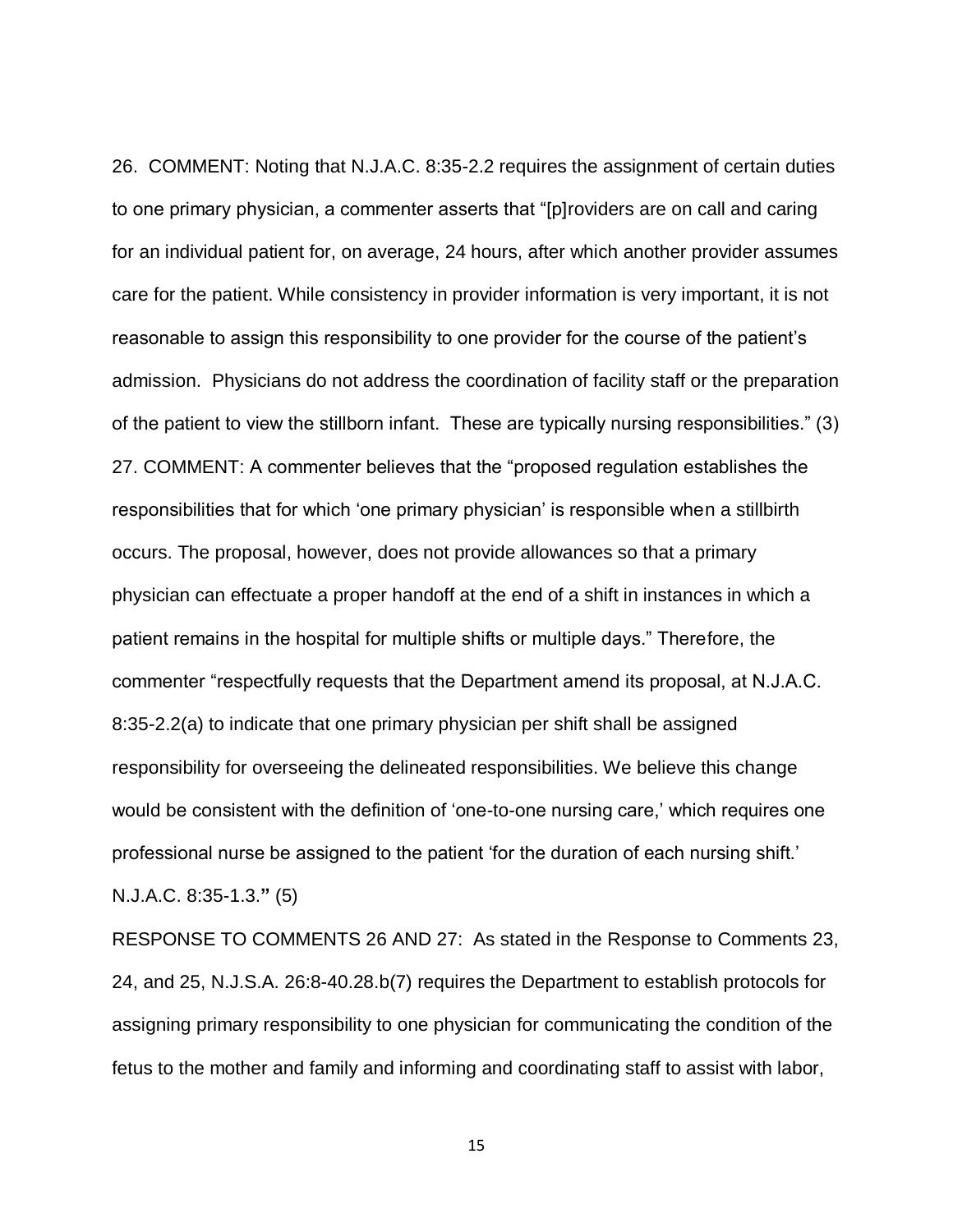26. COMMENT: Noting that N.J.A.C. 8:35-2.2 requires the assignment of certain duties to one primary physician, a commenter asserts that "[p]roviders are on call and caring for an individual patient for, on average, 24 hours, after which another provider assumes care for the patient. While consistency in provider information is very important, it is not reasonable to assign this responsibility to one provider for the course of the patient's admission. Physicians do not address the coordination of facility staff or the preparation of the patient to view the stillborn infant. These are typically nursing responsibilities." (3) 27. COMMENT: A commenter believes that the "proposed regulation establishes the responsibilities that for which 'one primary physician' is responsible when a stillbirth occurs. The proposal, however, does not provide allowances so that a primary physician can effectuate a proper handoff at the end of a shift in instances in which a patient remains in the hospital for multiple shifts or multiple days." Therefore, the commenter "respectfully requests that the Department amend its proposal, at N.J.A.C. 8:35-2.2(a) to indicate that one primary physician per shift shall be assigned responsibility for overseeing the delineated responsibilities. We believe this change would be consistent with the definition of 'one-to-one nursing care,' which requires one professional nurse be assigned to the patient 'for the duration of each nursing shift.' N.J.A.C. 8:35-1.3.**"** (5)

RESPONSE TO COMMENTS 26 AND 27: As stated in the Response to Comments 23, 24, and 25, N.J.S.A. 26:8-40.28.b(7) requires the Department to establish protocols for assigning primary responsibility to one physician for communicating the condition of the fetus to the mother and family and informing and coordinating staff to assist with labor,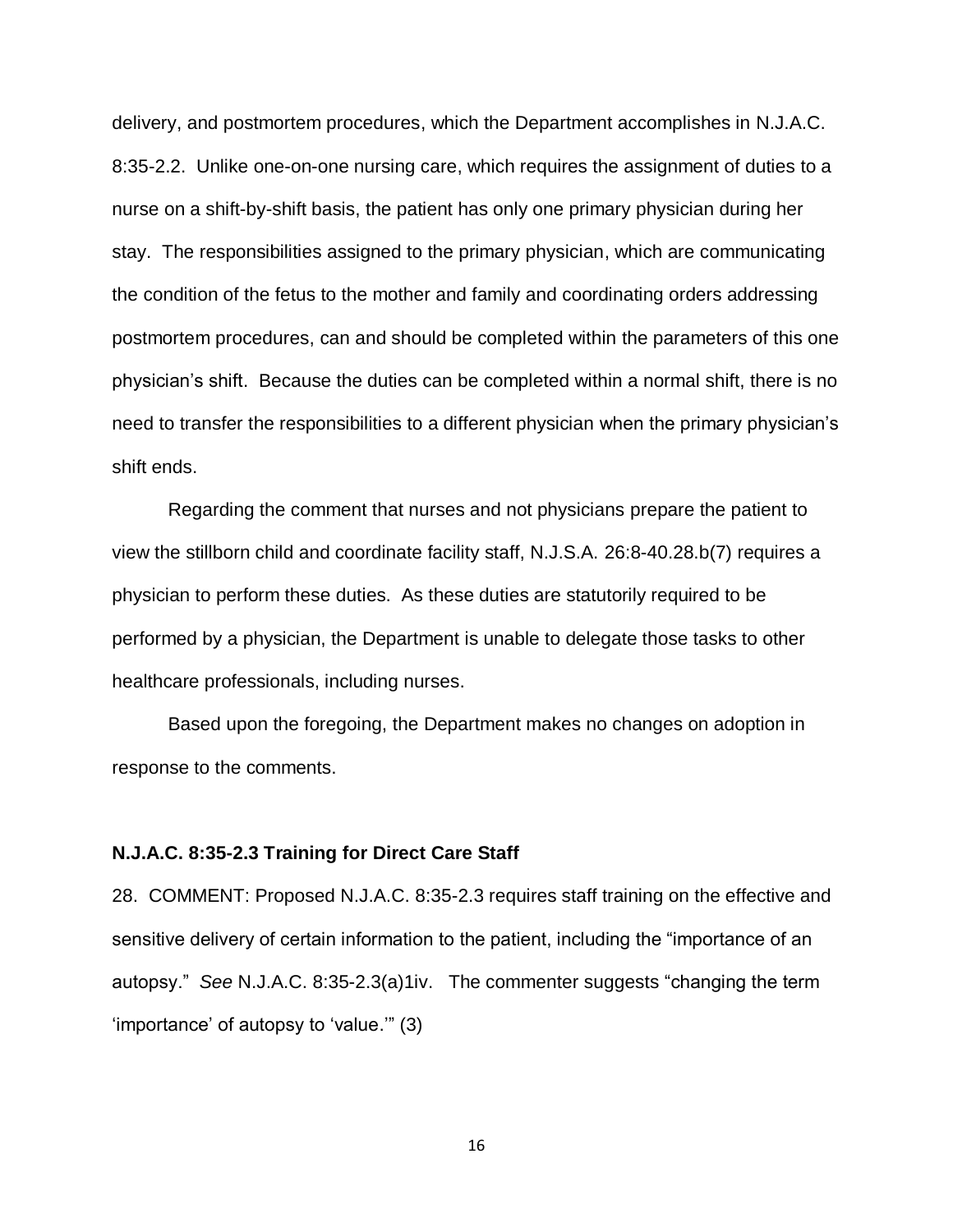delivery, and postmortem procedures, which the Department accomplishes in N.J.A.C. 8:35-2.2. Unlike one-on-one nursing care, which requires the assignment of duties to a nurse on a shift-by-shift basis, the patient has only one primary physician during her stay. The responsibilities assigned to the primary physician, which are communicating the condition of the fetus to the mother and family and coordinating orders addressing postmortem procedures, can and should be completed within the parameters of this one physician's shift. Because the duties can be completed within a normal shift, there is no need to transfer the responsibilities to a different physician when the primary physician's shift ends.

Regarding the comment that nurses and not physicians prepare the patient to view the stillborn child and coordinate facility staff, N.J.S.A. 26:8-40.28.b(7) requires a physician to perform these duties. As these duties are statutorily required to be performed by a physician, the Department is unable to delegate those tasks to other healthcare professionals, including nurses.

Based upon the foregoing, the Department makes no changes on adoption in response to the comments.

#### **N.J.A.C. 8:35-2.3 Training for Direct Care Staff**

28. COMMENT: Proposed N.J.A.C. 8:35-2.3 requires staff training on the effective and sensitive delivery of certain information to the patient, including the "importance of an autopsy." *See* N.J.A.C. 8:35-2.3(a)1iv. The commenter suggests "changing the term 'importance' of autopsy to 'value.'" (3)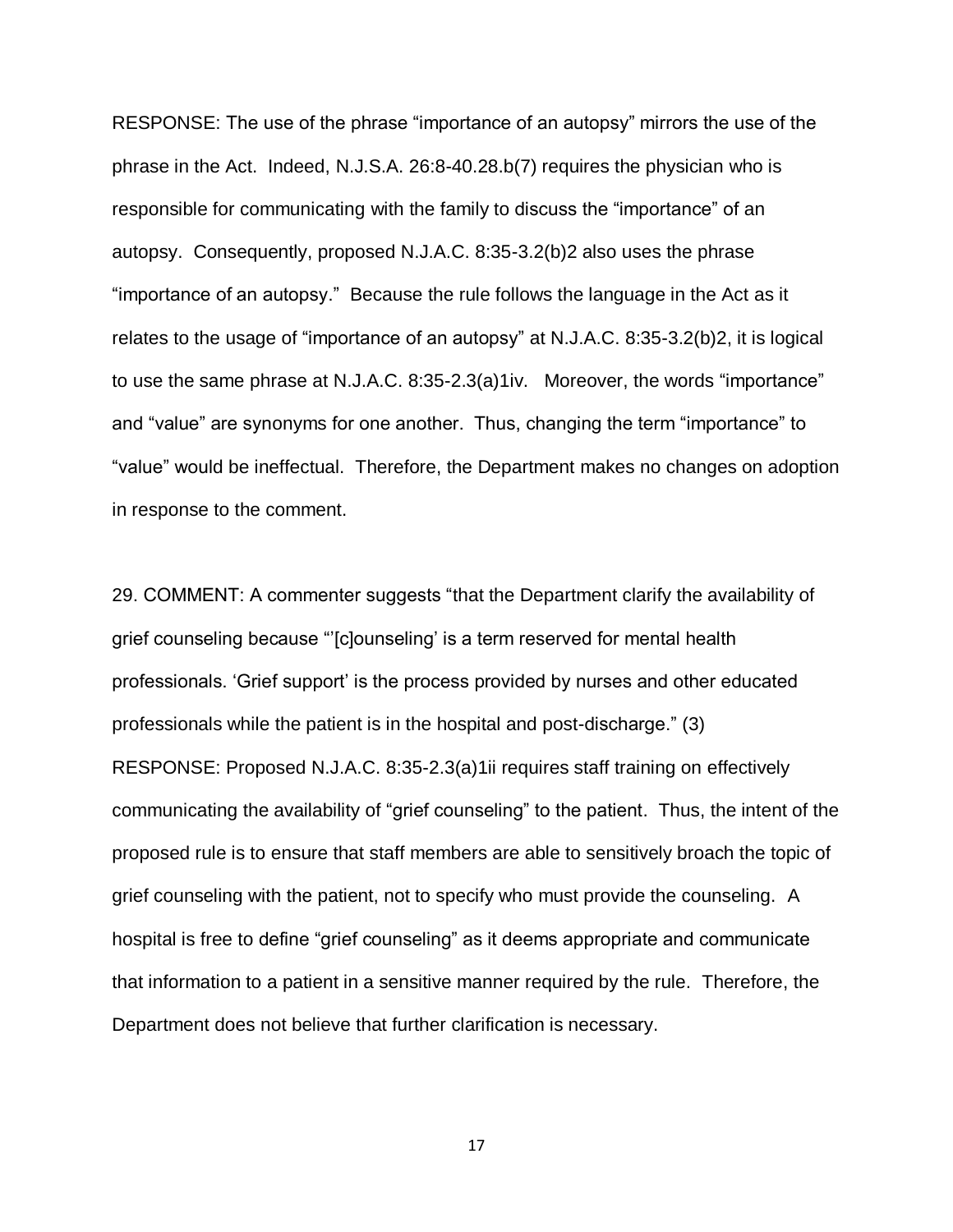RESPONSE: The use of the phrase "importance of an autopsy" mirrors the use of the phrase in the Act. Indeed, N.J.S.A. 26:8-40.28.b(7) requires the physician who is responsible for communicating with the family to discuss the "importance" of an autopsy. Consequently, proposed N.J.A.C. 8:35-3.2(b)2 also uses the phrase "importance of an autopsy." Because the rule follows the language in the Act as it relates to the usage of "importance of an autopsy" at N.J.A.C. 8:35-3.2(b)2, it is logical to use the same phrase at N.J.A.C. 8:35-2.3(a)1iv. Moreover, the words "importance" and "value" are synonyms for one another. Thus, changing the term "importance" to "value" would be ineffectual. Therefore, the Department makes no changes on adoption in response to the comment.

29. COMMENT: A commenter suggests "that the Department clarify the availability of grief counseling because "'[c]ounseling' is a term reserved for mental health professionals. 'Grief support' is the process provided by nurses and other educated professionals while the patient is in the hospital and post-discharge." (3) RESPONSE: Proposed N.J.A.C. 8:35-2.3(a)1ii requires staff training on effectively communicating the availability of "grief counseling" to the patient. Thus, the intent of the proposed rule is to ensure that staff members are able to sensitively broach the topic of grief counseling with the patient, not to specify who must provide the counseling. A hospital is free to define "grief counseling" as it deems appropriate and communicate that information to a patient in a sensitive manner required by the rule. Therefore, the Department does not believe that further clarification is necessary.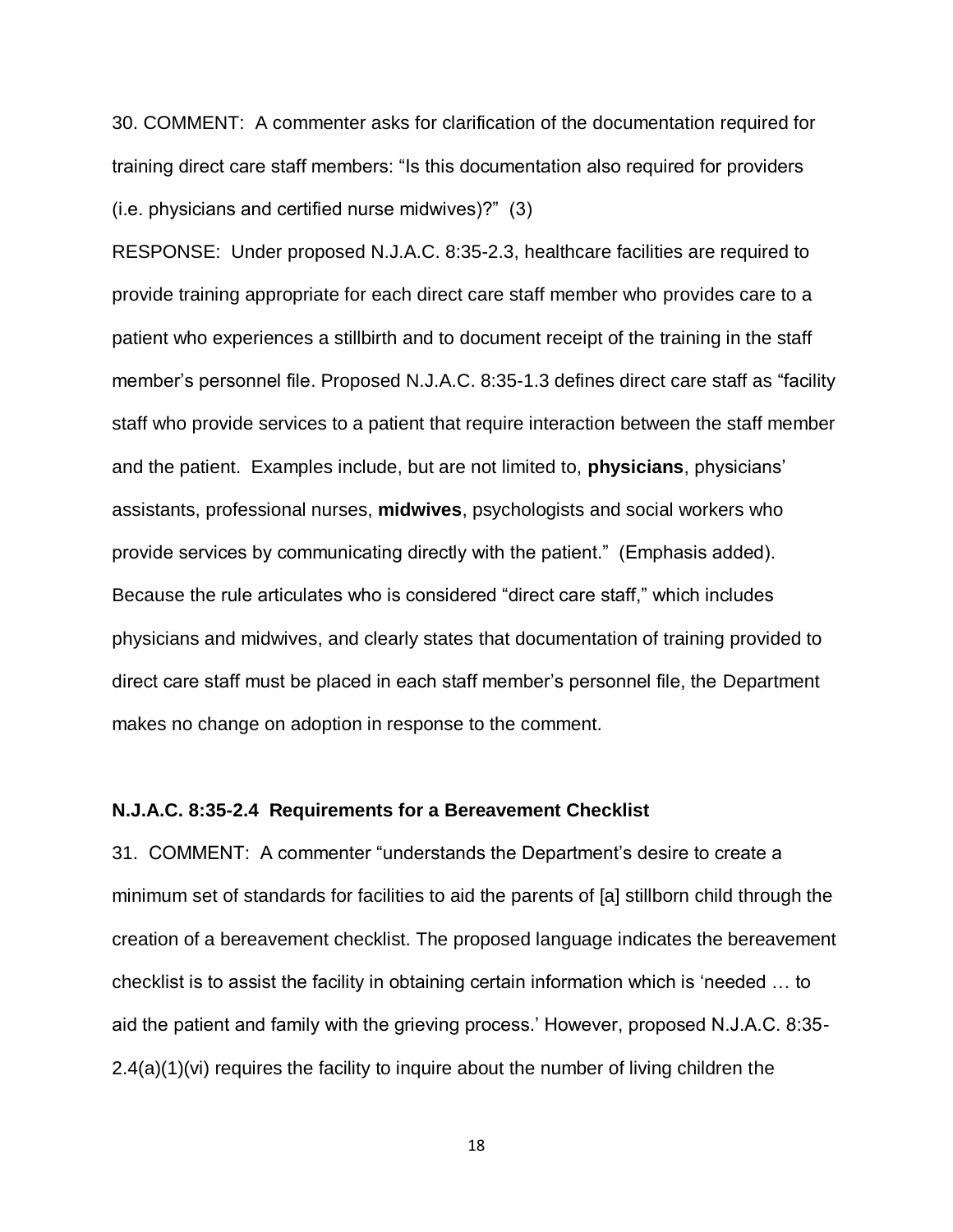30. COMMENT: A commenter asks for clarification of the documentation required for training direct care staff members: "Is this documentation also required for providers (i.e. physicians and certified nurse midwives)?" (3)

RESPONSE: Under proposed N.J.A.C. 8:35-2.3, healthcare facilities are required to provide training appropriate for each direct care staff member who provides care to a patient who experiences a stillbirth and to document receipt of the training in the staff member's personnel file. Proposed N.J.A.C. 8:35-1.3 defines direct care staff as "facility staff who provide services to a patient that require interaction between the staff member and the patient. Examples include, but are not limited to, **physicians**, physicians' assistants, professional nurses, **midwives**, psychologists and social workers who provide services by communicating directly with the patient." (Emphasis added). Because the rule articulates who is considered "direct care staff," which includes physicians and midwives, and clearly states that documentation of training provided to direct care staff must be placed in each staff member's personnel file, the Department makes no change on adoption in response to the comment.

#### **N.J.A.C. 8:35-2.4 Requirements for a Bereavement Checklist**

31. COMMENT: A commenter "understands the Department's desire to create a minimum set of standards for facilities to aid the parents of [a] stillborn child through the creation of a bereavement checklist. The proposed language indicates the bereavement checklist is to assist the facility in obtaining certain information which is 'needed … to aid the patient and family with the grieving process.' However, proposed N.J.A.C. 8:35- 2.4(a)(1)(vi) requires the facility to inquire about the number of living children the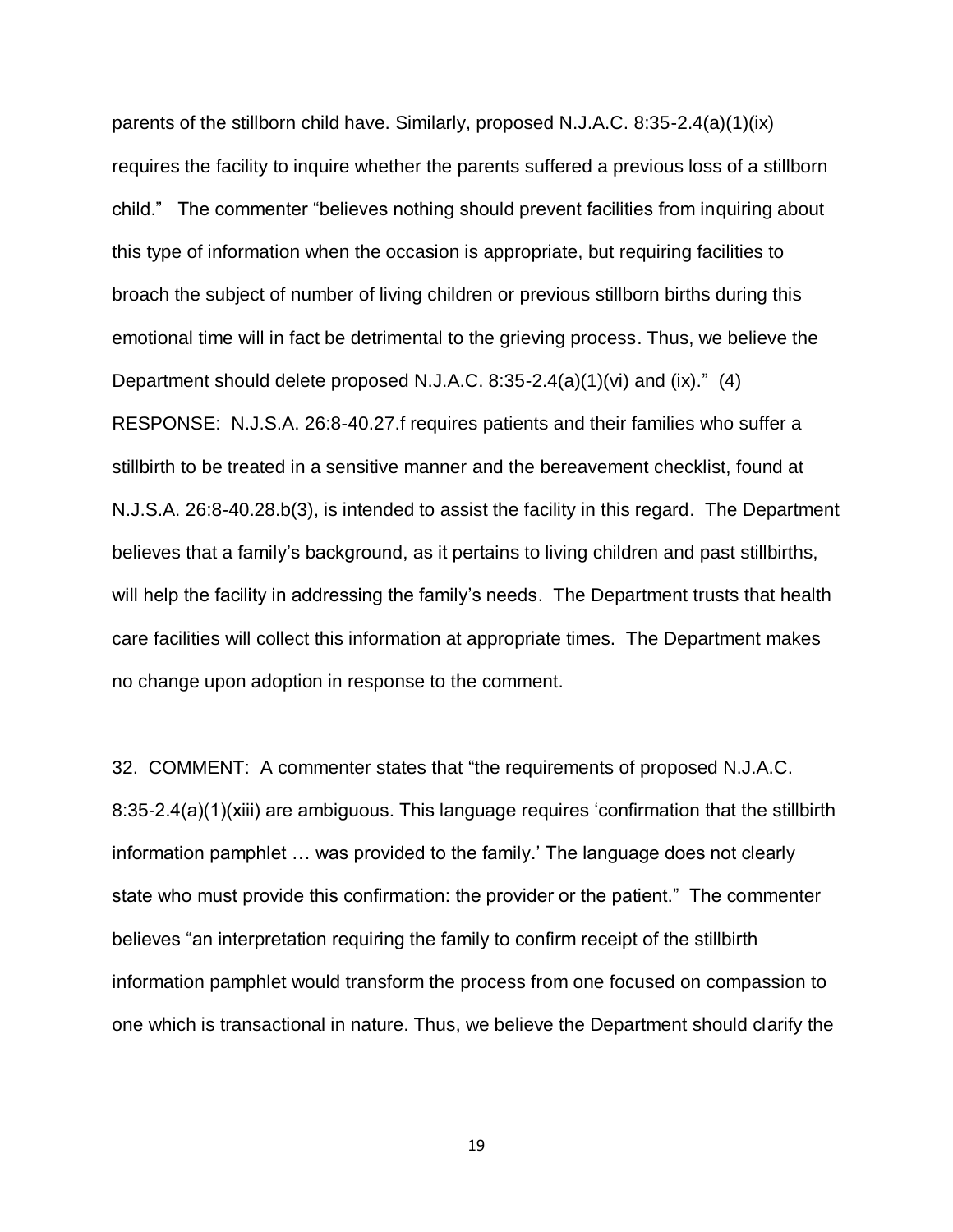parents of the stillborn child have. Similarly, proposed N.J.A.C. 8:35-2.4(a)(1)(ix) requires the facility to inquire whether the parents suffered a previous loss of a stillborn child." The commenter "believes nothing should prevent facilities from inquiring about this type of information when the occasion is appropriate, but requiring facilities to broach the subject of number of living children or previous stillborn births during this emotional time will in fact be detrimental to the grieving process. Thus, we believe the Department should delete proposed N.J.A.C. 8:35-2.4(a)(1)(vi) and (ix)." (4) RESPONSE: N.J.S.A. 26:8-40.27.f requires patients and their families who suffer a stillbirth to be treated in a sensitive manner and the bereavement checklist, found at N.J.S.A. 26:8-40.28.b(3), is intended to assist the facility in this regard. The Department believes that a family's background, as it pertains to living children and past stillbirths, will help the facility in addressing the family's needs. The Department trusts that health care facilities will collect this information at appropriate times. The Department makes no change upon adoption in response to the comment.

32. COMMENT: A commenter states that "the requirements of proposed N.J.A.C. 8:35-2.4(a)(1)(xiii) are ambiguous. This language requires 'confirmation that the stillbirth information pamphlet … was provided to the family.' The language does not clearly state who must provide this confirmation: the provider or the patient." The commenter believes "an interpretation requiring the family to confirm receipt of the stillbirth information pamphlet would transform the process from one focused on compassion to one which is transactional in nature. Thus, we believe the Department should clarify the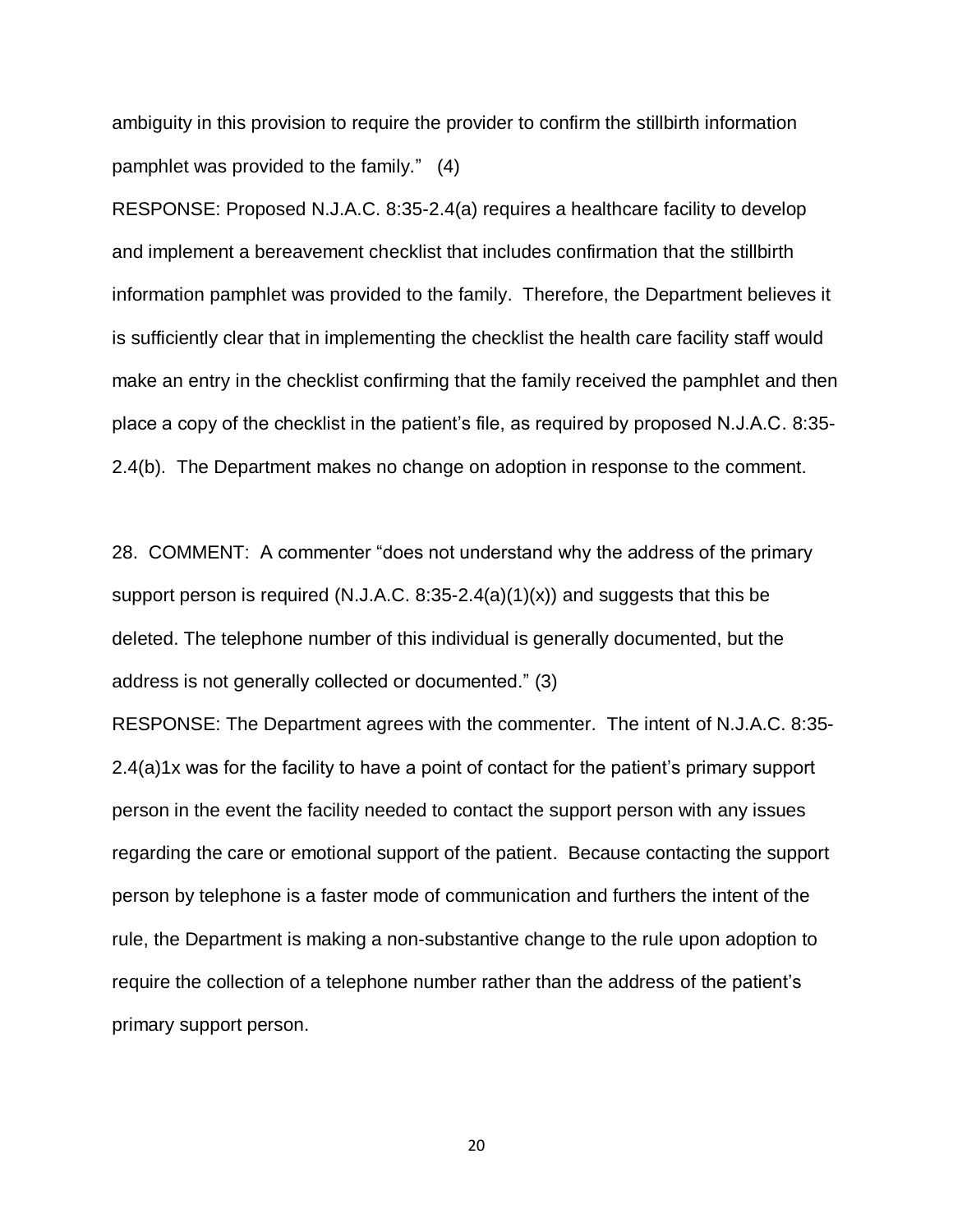ambiguity in this provision to require the provider to confirm the stillbirth information pamphlet was provided to the family." (4)

RESPONSE: Proposed N.J.A.C. 8:35-2.4(a) requires a healthcare facility to develop and implement a bereavement checklist that includes confirmation that the stillbirth information pamphlet was provided to the family. Therefore, the Department believes it is sufficiently clear that in implementing the checklist the health care facility staff would make an entry in the checklist confirming that the family received the pamphlet and then place a copy of the checklist in the patient's file, as required by proposed N.J.A.C. 8:35- 2.4(b). The Department makes no change on adoption in response to the comment.

28. COMMENT: A commenter "does not understand why the address of the primary support person is required (N.J.A.C. 8:35-2.4(a)(1)(x)) and suggests that this be deleted. The telephone number of this individual is generally documented, but the address is not generally collected or documented." (3)

RESPONSE: The Department agrees with the commenter. The intent of N.J.A.C. 8:35- 2.4(a)1x was for the facility to have a point of contact for the patient's primary support person in the event the facility needed to contact the support person with any issues regarding the care or emotional support of the patient. Because contacting the support person by telephone is a faster mode of communication and furthers the intent of the rule, the Department is making a non-substantive change to the rule upon adoption to require the collection of a telephone number rather than the address of the patient's primary support person.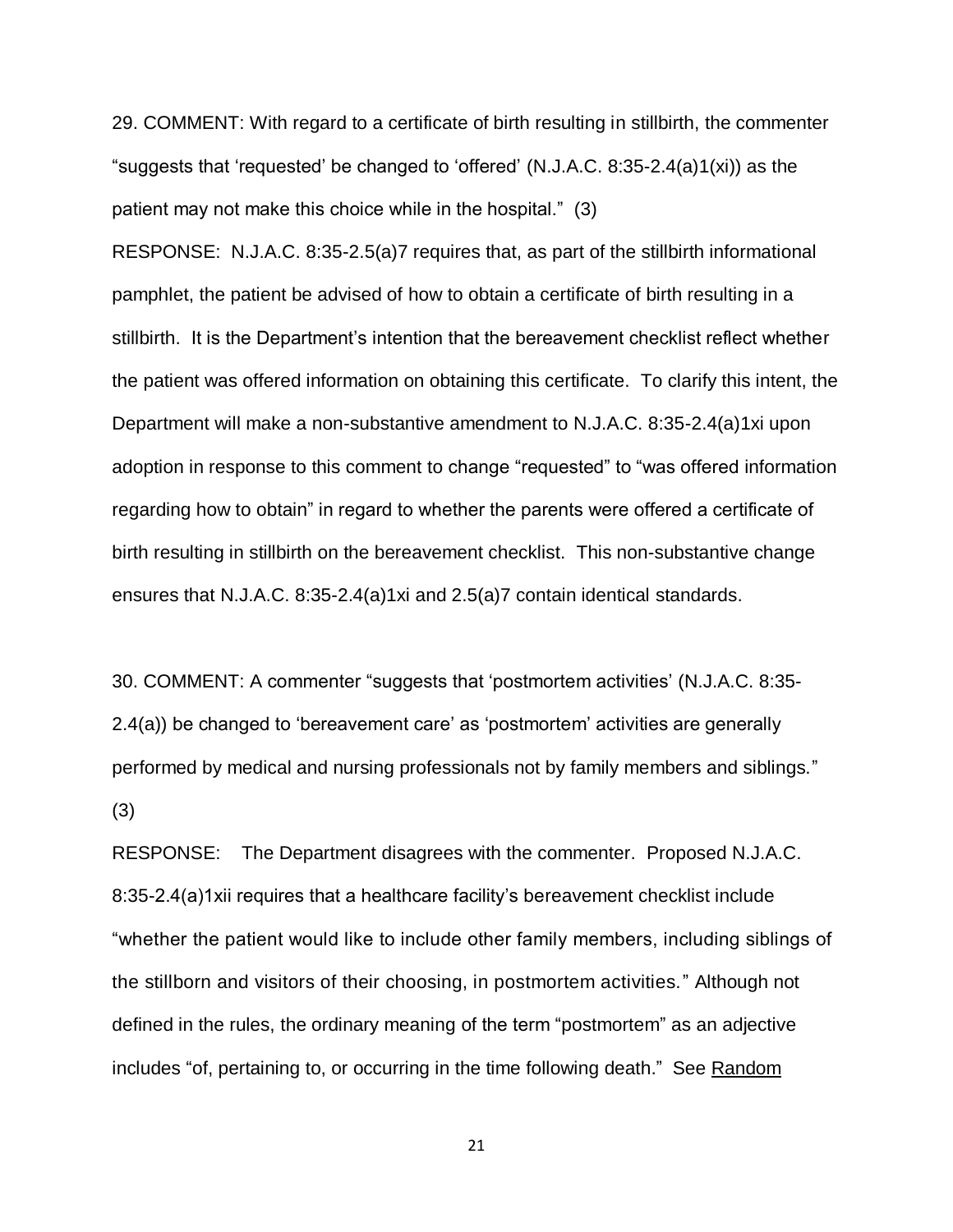29. COMMENT: With regard to a certificate of birth resulting in stillbirth, the commenter "suggests that 'requested' be changed to 'offered' (N.J.A.C. 8:35-2.4(a)1(xi)) as the patient may not make this choice while in the hospital." (3)

RESPONSE: N.J.A.C. 8:35-2.5(a)7 requires that, as part of the stillbirth informational pamphlet, the patient be advised of how to obtain a certificate of birth resulting in a stillbirth. It is the Department's intention that the bereavement checklist reflect whether the patient was offered information on obtaining this certificate. To clarify this intent, the Department will make a non-substantive amendment to N.J.A.C. 8:35-2.4(a)1xi upon adoption in response to this comment to change "requested" to "was offered information regarding how to obtain" in regard to whether the parents were offered a certificate of birth resulting in stillbirth on the bereavement checklist. This non-substantive change ensures that N.J.A.C. 8:35-2.4(a)1xi and 2.5(a)7 contain identical standards.

30. COMMENT: A commenter "suggests that 'postmortem activities' (N.J.A.C. 8:35- 2.4(a)) be changed to 'bereavement care' as 'postmortem' activities are generally performed by medical and nursing professionals not by family members and siblings." (3)

RESPONSE: The Department disagrees with the commenter. Proposed N.J.A.C. 8:35-2.4(a)1xii requires that a healthcare facility's bereavement checklist include "whether the patient would like to include other family members, including siblings of the stillborn and visitors of their choosing, in postmortem activities." Although not defined in the rules, the ordinary meaning of the term "postmortem" as an adjective includes "of, pertaining to, or occurring in the time following death." See Random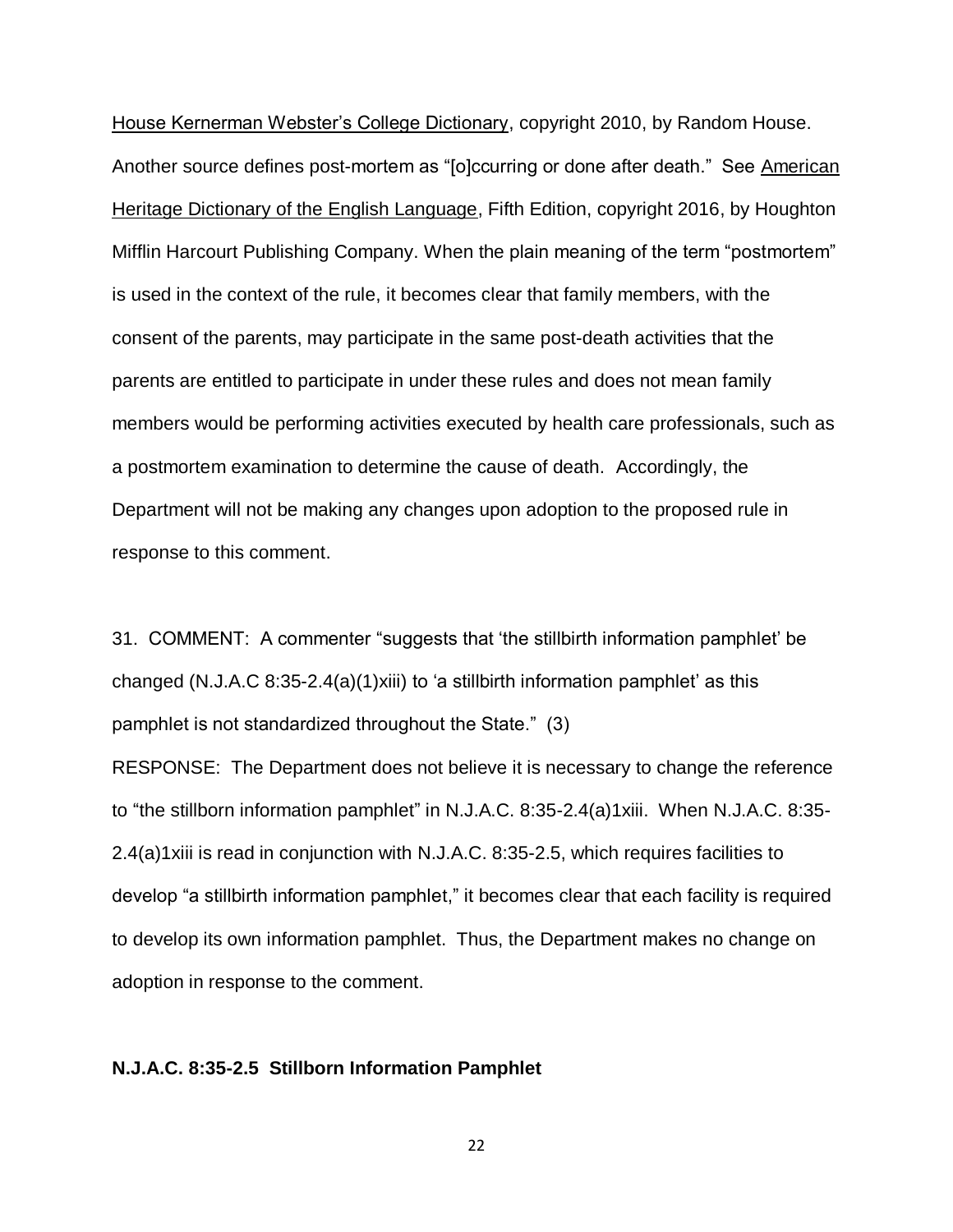House Kernerman Webster's College Dictionary, copyright 2010, by Random House. Another source defines post-mortem as "[o]ccurring or done after death." See American Heritage Dictionary of the English Language, Fifth Edition, copyright 2016, by Houghton Mifflin Harcourt Publishing Company. When the plain meaning of the term "postmortem" is used in the context of the rule, it becomes clear that family members, with the consent of the parents, may participate in the same post-death activities that the parents are entitled to participate in under these rules and does not mean family members would be performing activities executed by health care professionals, such as a postmortem examination to determine the cause of death. Accordingly, the Department will not be making any changes upon adoption to the proposed rule in response to this comment.

31. COMMENT: A commenter "suggests that 'the stillbirth information pamphlet' be changed (N.J.A.C 8:35-2.4(a)(1)xiii) to 'a stillbirth information pamphlet' as this pamphlet is not standardized throughout the State." (3)

RESPONSE: The Department does not believe it is necessary to change the reference to "the stillborn information pamphlet" in N.J.A.C. 8:35-2.4(a)1xiii. When N.J.A.C. 8:35- 2.4(a)1xiii is read in conjunction with N.J.A.C. 8:35-2.5, which requires facilities to develop "a stillbirth information pamphlet," it becomes clear that each facility is required to develop its own information pamphlet. Thus, the Department makes no change on adoption in response to the comment.

#### **N.J.A.C. 8:35-2.5 Stillborn Information Pamphlet**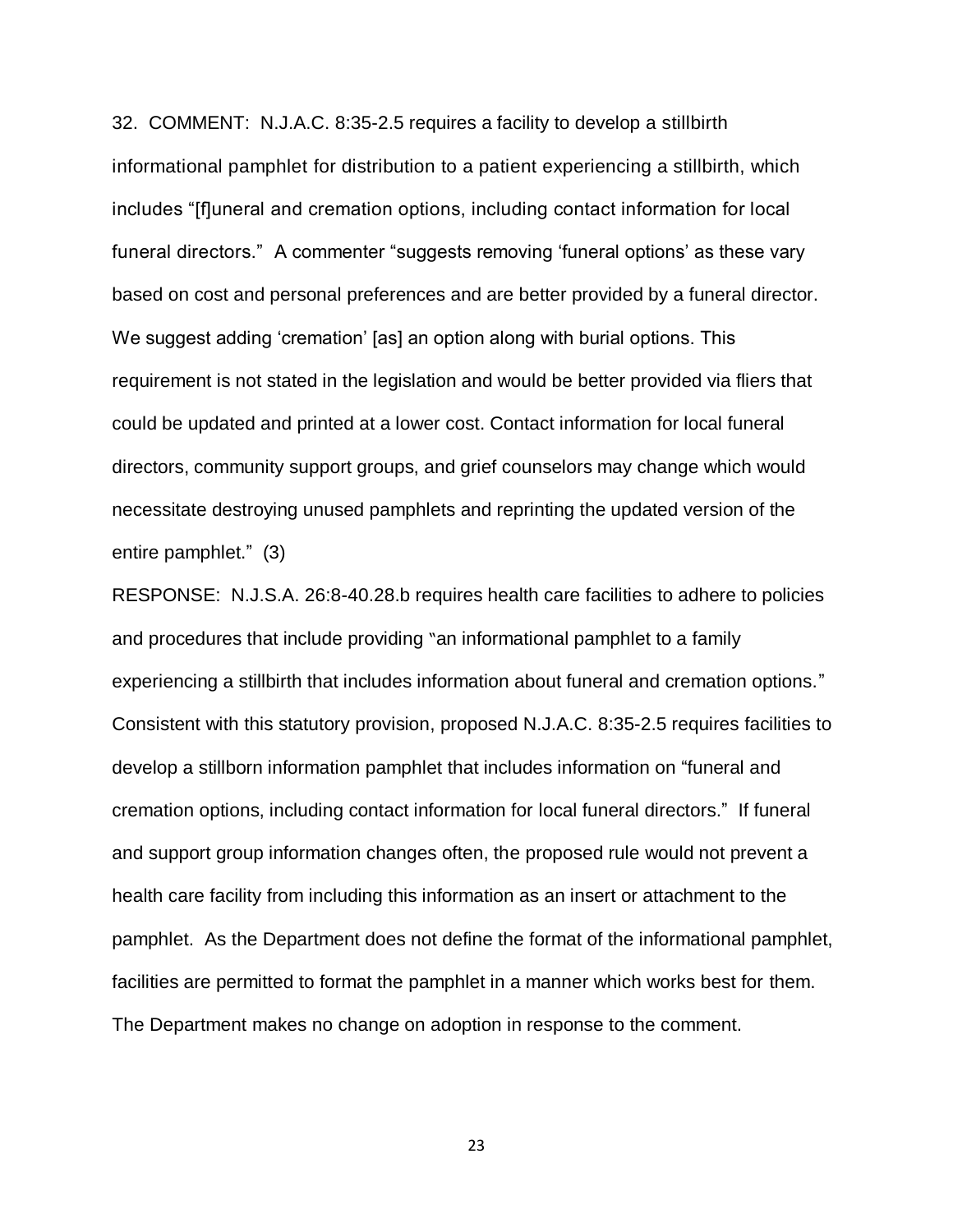32. COMMENT: N.J.A.C. 8:35-2.5 requires a facility to develop a stillbirth informational pamphlet for distribution to a patient experiencing a stillbirth, which includes "[f]uneral and cremation options, including contact information for local funeral directors." A commenter "suggests removing 'funeral options' as these vary based on cost and personal preferences and are better provided by a funeral director. We suggest adding 'cremation' [as] an option along with burial options. This requirement is not stated in the legislation and would be better provided via fliers that could be updated and printed at a lower cost. Contact information for local funeral directors, community support groups, and grief counselors may change which would necessitate destroying unused pamphlets and reprinting the updated version of the entire pamphlet." (3)

RESPONSE: N.J.S.A. 26:8-40.28.b requires health care facilities to adhere to policies and procedures that include providing "an informational pamphlet to a family experiencing a stillbirth that includes information about funeral and cremation options." Consistent with this statutory provision, proposed N.J.A.C. 8:35-2.5 requires facilities to develop a stillborn information pamphlet that includes information on "funeral and cremation options, including contact information for local funeral directors." If funeral and support group information changes often, the proposed rule would not prevent a health care facility from including this information as an insert or attachment to the pamphlet. As the Department does not define the format of the informational pamphlet, facilities are permitted to format the pamphlet in a manner which works best for them. The Department makes no change on adoption in response to the comment.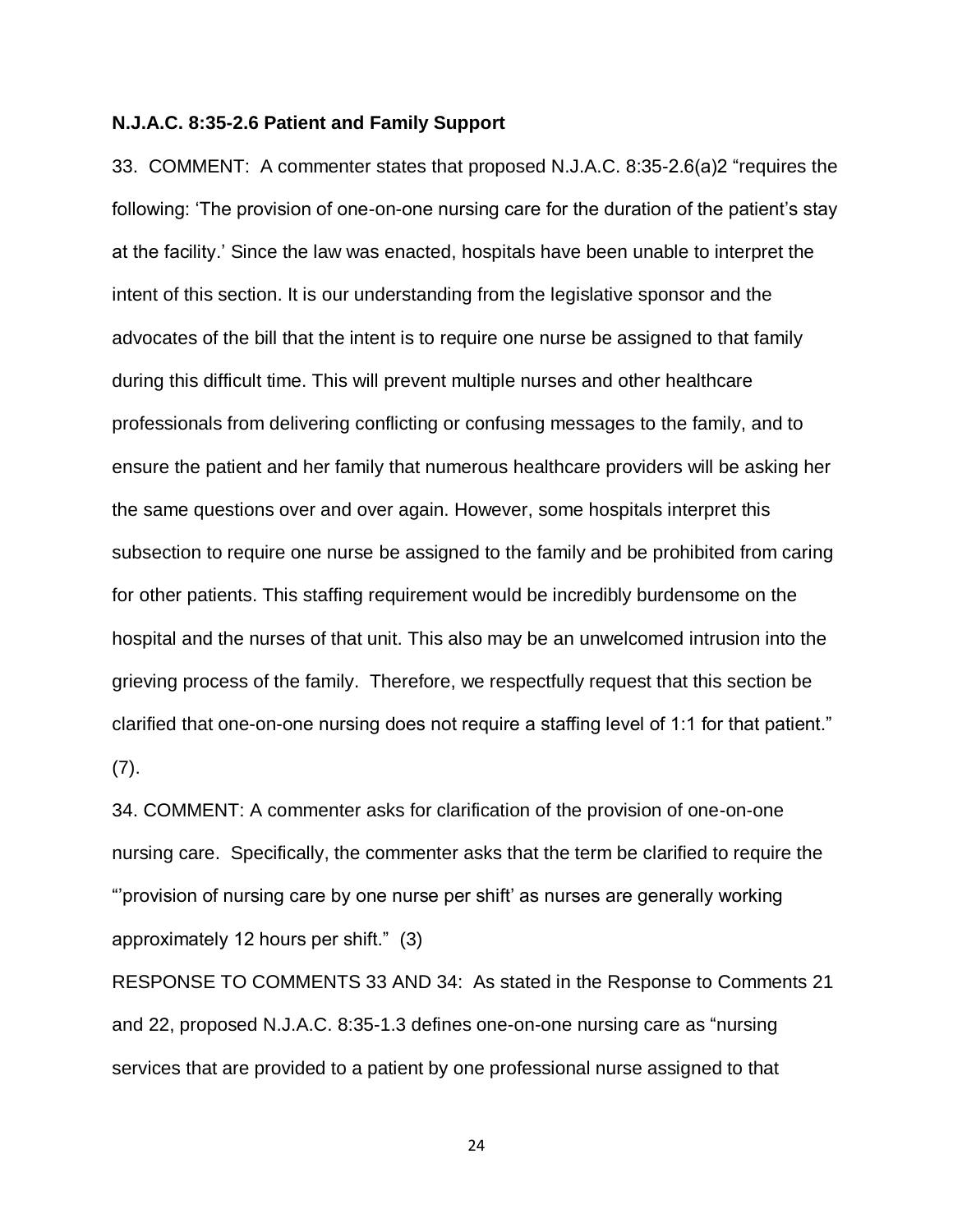#### **N.J.A.C. 8:35-2.6 Patient and Family Support**

33. COMMENT: A commenter states that proposed N.J.A.C. 8:35-2.6(a)2 "requires the following: 'The provision of one-on-one nursing care for the duration of the patient's stay at the facility.' Since the law was enacted, hospitals have been unable to interpret the intent of this section. It is our understanding from the legislative sponsor and the advocates of the bill that the intent is to require one nurse be assigned to that family during this difficult time. This will prevent multiple nurses and other healthcare professionals from delivering conflicting or confusing messages to the family, and to ensure the patient and her family that numerous healthcare providers will be asking her the same questions over and over again. However, some hospitals interpret this subsection to require one nurse be assigned to the family and be prohibited from caring for other patients. This staffing requirement would be incredibly burdensome on the hospital and the nurses of that unit. This also may be an unwelcomed intrusion into the grieving process of the family. Therefore, we respectfully request that this section be clarified that one-on-one nursing does not require a staffing level of 1:1 for that patient." (7).

34. COMMENT: A commenter asks for clarification of the provision of one-on-one nursing care. Specifically, the commenter asks that the term be clarified to require the "'provision of nursing care by one nurse per shift' as nurses are generally working approximately 12 hours per shift." (3)

RESPONSE TO COMMENTS 33 AND 34: As stated in the Response to Comments 21 and 22, proposed N.J.A.C. 8:35-1.3 defines one-on-one nursing care as "nursing services that are provided to a patient by one professional nurse assigned to that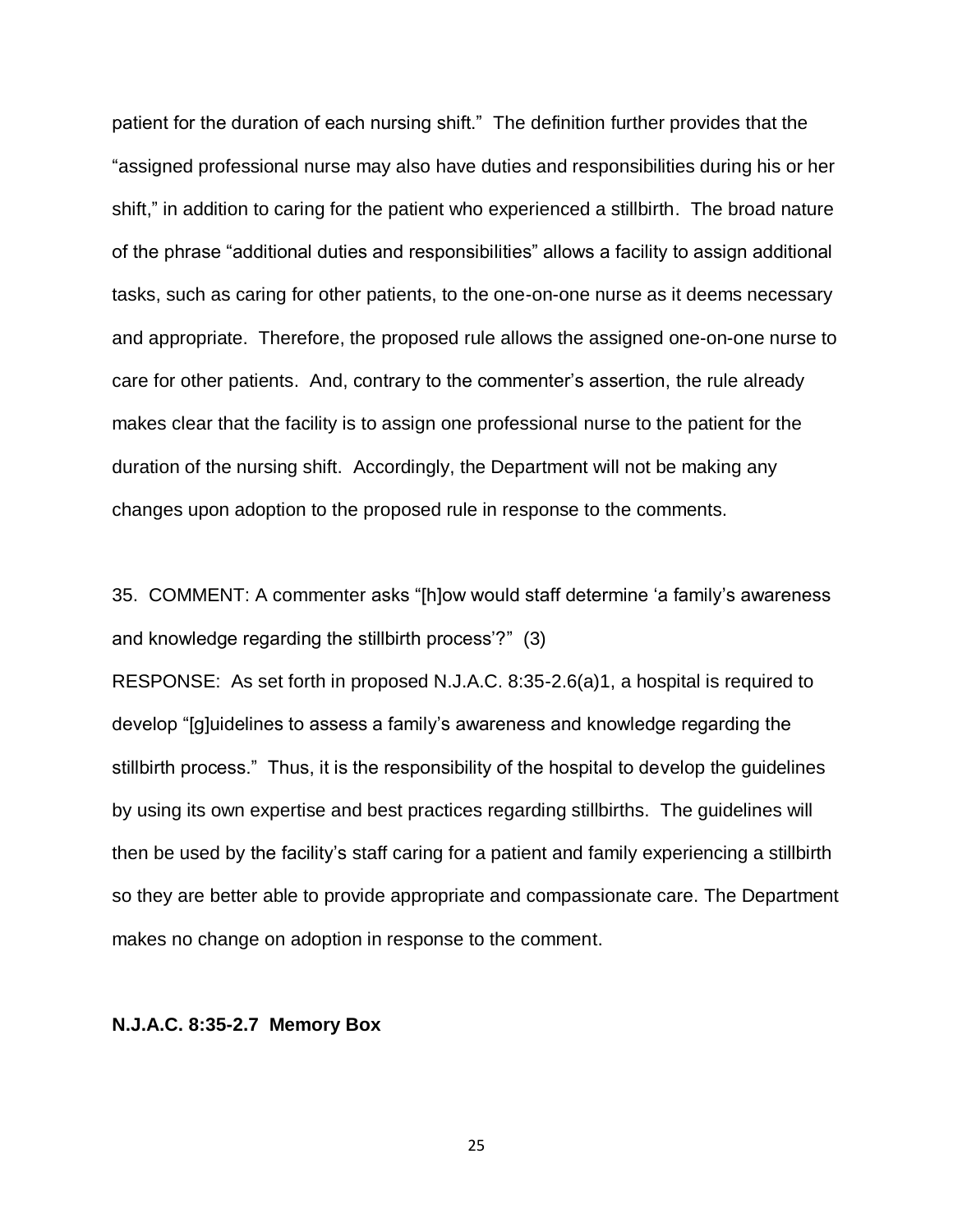patient for the duration of each nursing shift." The definition further provides that the "assigned professional nurse may also have duties and responsibilities during his or her shift," in addition to caring for the patient who experienced a stillbirth. The broad nature of the phrase "additional duties and responsibilities" allows a facility to assign additional tasks, such as caring for other patients, to the one-on-one nurse as it deems necessary and appropriate. Therefore, the proposed rule allows the assigned one-on-one nurse to care for other patients. And, contrary to the commenter's assertion, the rule already makes clear that the facility is to assign one professional nurse to the patient for the duration of the nursing shift. Accordingly, the Department will not be making any changes upon adoption to the proposed rule in response to the comments.

35. COMMENT: A commenter asks "[h]ow would staff determine 'a family's awareness and knowledge regarding the stillbirth process'?" (3)

RESPONSE: As set forth in proposed N.J.A.C. 8:35-2.6(a)1, a hospital is required to develop "[g]uidelines to assess a family's awareness and knowledge regarding the stillbirth process." Thus, it is the responsibility of the hospital to develop the guidelines by using its own expertise and best practices regarding stillbirths. The guidelines will then be used by the facility's staff caring for a patient and family experiencing a stillbirth so they are better able to provide appropriate and compassionate care. The Department makes no change on adoption in response to the comment.

#### **N.J.A.C. 8:35-2.7 Memory Box**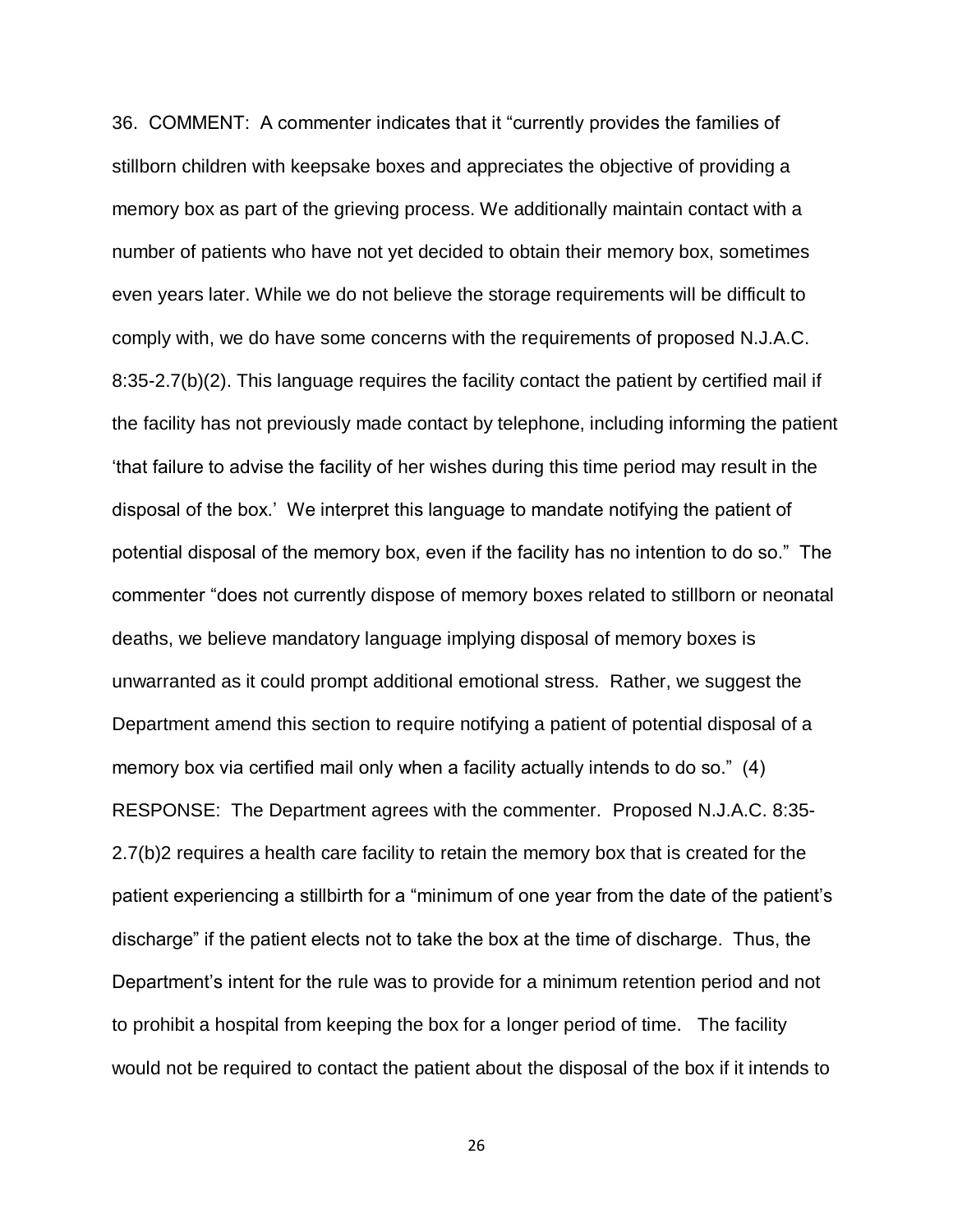36. COMMENT: A commenter indicates that it "currently provides the families of stillborn children with keepsake boxes and appreciates the objective of providing a memory box as part of the grieving process. We additionally maintain contact with a number of patients who have not yet decided to obtain their memory box, sometimes even years later. While we do not believe the storage requirements will be difficult to comply with, we do have some concerns with the requirements of proposed N.J.A.C. 8:35-2.7(b)(2). This language requires the facility contact the patient by certified mail if the facility has not previously made contact by telephone, including informing the patient 'that failure to advise the facility of her wishes during this time period may result in the disposal of the box.' We interpret this language to mandate notifying the patient of potential disposal of the memory box, even if the facility has no intention to do so." The commenter "does not currently dispose of memory boxes related to stillborn or neonatal deaths, we believe mandatory language implying disposal of memory boxes is unwarranted as it could prompt additional emotional stress. Rather, we suggest the Department amend this section to require notifying a patient of potential disposal of a memory box via certified mail only when a facility actually intends to do so." (4) RESPONSE: The Department agrees with the commenter. Proposed N.J.A.C. 8:35- 2.7(b)2 requires a health care facility to retain the memory box that is created for the patient experiencing a stillbirth for a "minimum of one year from the date of the patient's discharge" if the patient elects not to take the box at the time of discharge. Thus, the Department's intent for the rule was to provide for a minimum retention period and not to prohibit a hospital from keeping the box for a longer period of time. The facility would not be required to contact the patient about the disposal of the box if it intends to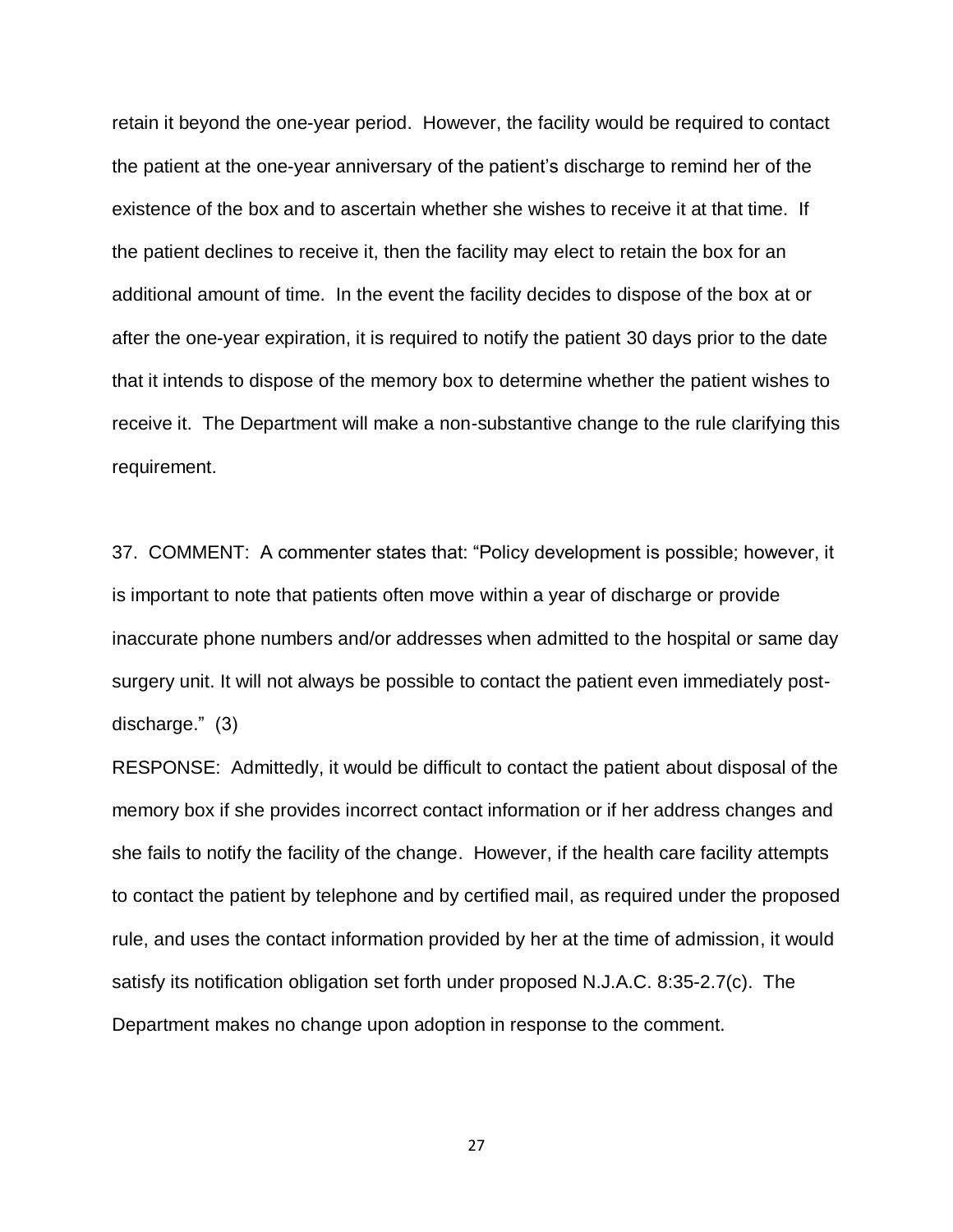retain it beyond the one-year period. However, the facility would be required to contact the patient at the one-year anniversary of the patient's discharge to remind her of the existence of the box and to ascertain whether she wishes to receive it at that time. If the patient declines to receive it, then the facility may elect to retain the box for an additional amount of time. In the event the facility decides to dispose of the box at or after the one-year expiration, it is required to notify the patient 30 days prior to the date that it intends to dispose of the memory box to determine whether the patient wishes to receive it. The Department will make a non-substantive change to the rule clarifying this requirement.

37. COMMENT: A commenter states that: "Policy development is possible; however, it is important to note that patients often move within a year of discharge or provide inaccurate phone numbers and/or addresses when admitted to the hospital or same day surgery unit. It will not always be possible to contact the patient even immediately postdischarge." (3)

RESPONSE: Admittedly, it would be difficult to contact the patient about disposal of the memory box if she provides incorrect contact information or if her address changes and she fails to notify the facility of the change. However, if the health care facility attempts to contact the patient by telephone and by certified mail, as required under the proposed rule, and uses the contact information provided by her at the time of admission, it would satisfy its notification obligation set forth under proposed N.J.A.C. 8:35-2.7(c). The Department makes no change upon adoption in response to the comment.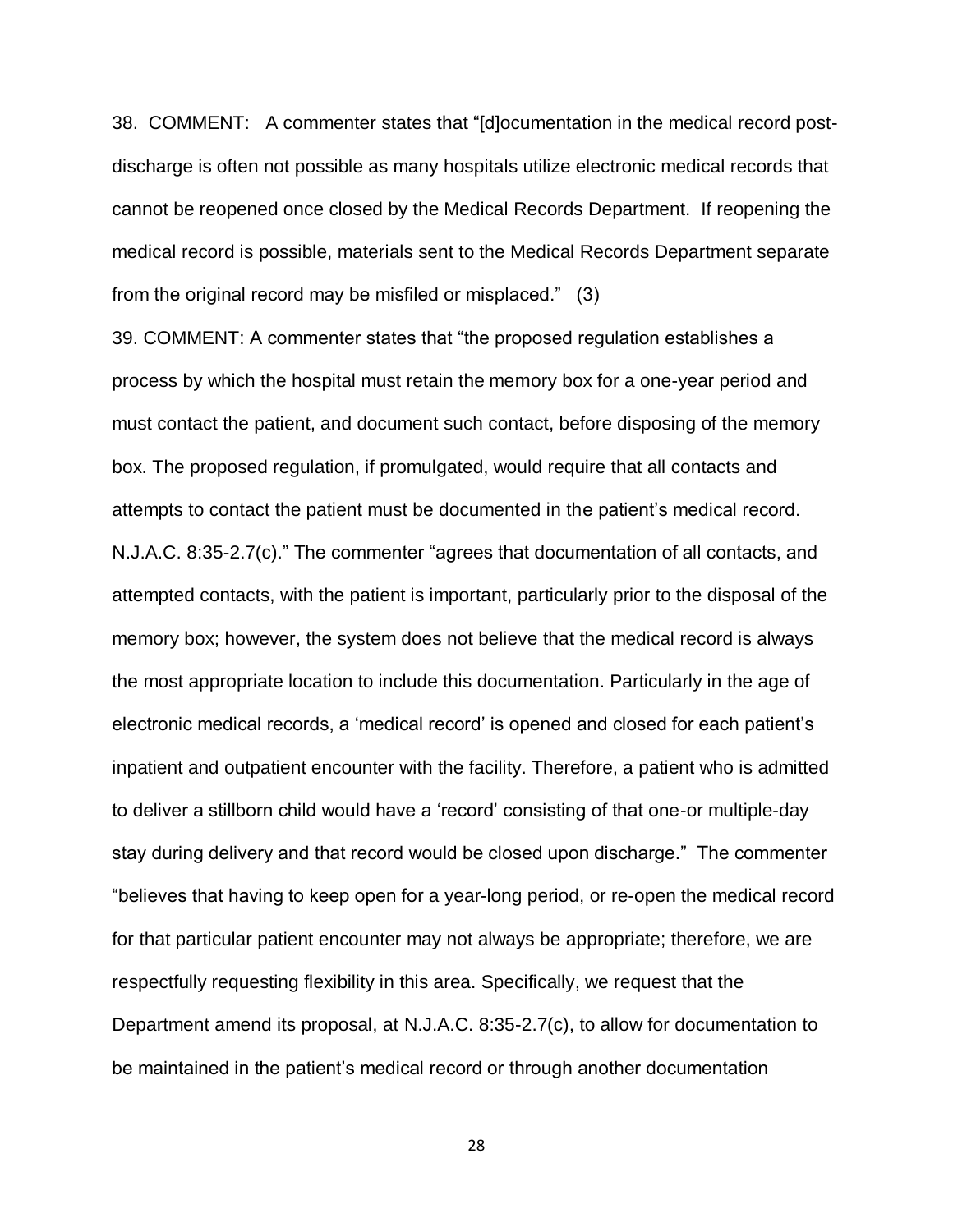38. COMMENT: A commenter states that "[d]ocumentation in the medical record postdischarge is often not possible as many hospitals utilize electronic medical records that cannot be reopened once closed by the Medical Records Department. If reopening the medical record is possible, materials sent to the Medical Records Department separate from the original record may be misfiled or misplaced." (3)

39. COMMENT: A commenter states that "the proposed regulation establishes a process by which the hospital must retain the memory box for a one-year period and must contact the patient, and document such contact, before disposing of the memory box. The proposed regulation, if promulgated, would require that all contacts and attempts to contact the patient must be documented in the patient's medical record. N.J.A.C. 8:35-2.7(c)." The commenter "agrees that documentation of all contacts, and attempted contacts, with the patient is important, particularly prior to the disposal of the memory box; however, the system does not believe that the medical record is always the most appropriate location to include this documentation. Particularly in the age of electronic medical records, a 'medical record' is opened and closed for each patient's inpatient and outpatient encounter with the facility. Therefore, a patient who is admitted to deliver a stillborn child would have a 'record' consisting of that one-or multiple-day stay during delivery and that record would be closed upon discharge." The commenter "believes that having to keep open for a year-long period, or re-open the medical record for that particular patient encounter may not always be appropriate; therefore, we are respectfully requesting flexibility in this area. Specifically, we request that the Department amend its proposal, at N.J.A.C. 8:35-2.7(c), to allow for documentation to be maintained in the patient's medical record or through another documentation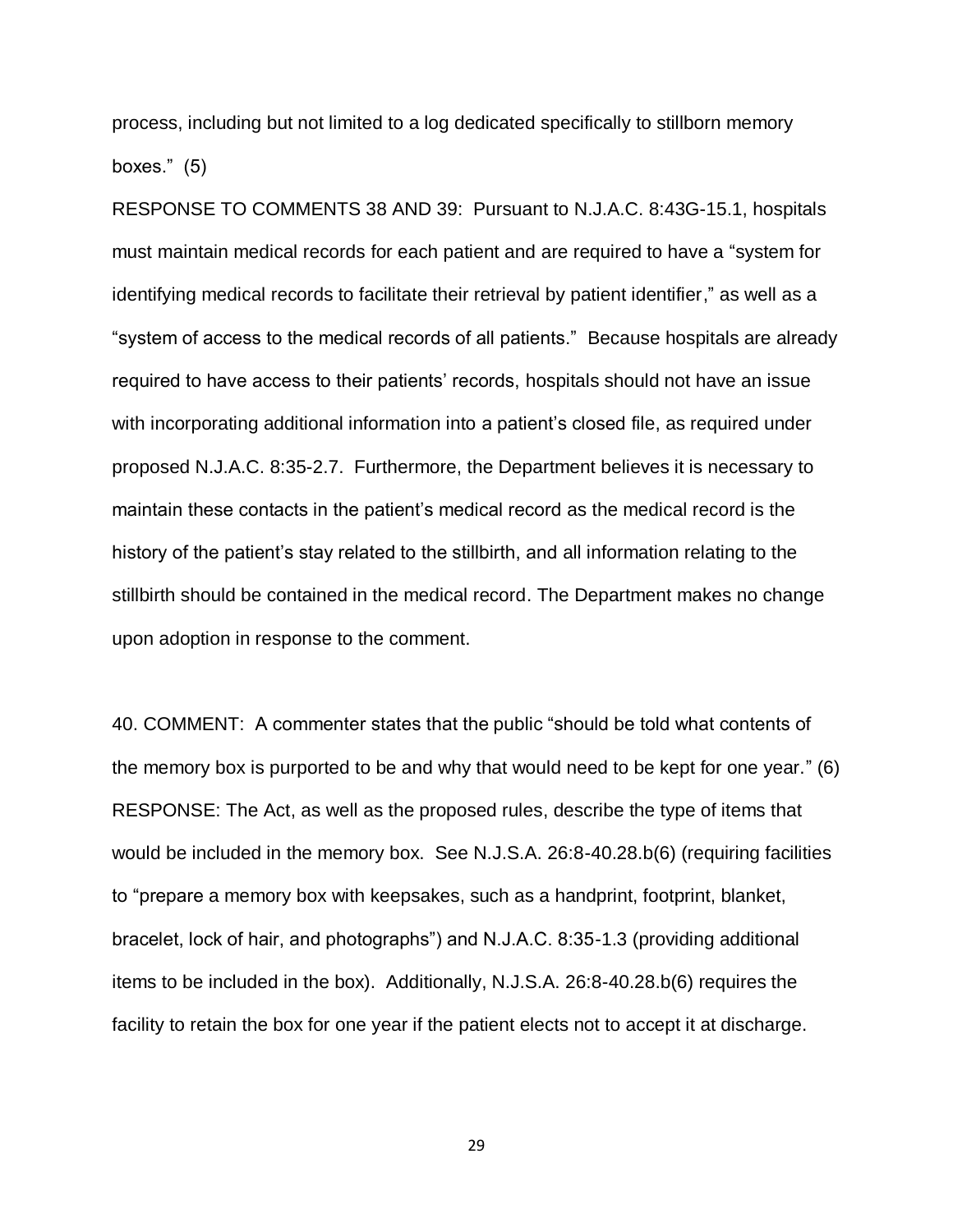process, including but not limited to a log dedicated specifically to stillborn memory boxes." (5)

RESPONSE TO COMMENTS 38 AND 39: Pursuant to N.J.A.C. 8:43G-15.1, hospitals must maintain medical records for each patient and are required to have a "system for identifying medical records to facilitate their retrieval by patient identifier," as well as a "system of access to the medical records of all patients." Because hospitals are already required to have access to their patients' records, hospitals should not have an issue with incorporating additional information into a patient's closed file, as required under proposed N.J.A.C. 8:35-2.7. Furthermore, the Department believes it is necessary to maintain these contacts in the patient's medical record as the medical record is the history of the patient's stay related to the stillbirth, and all information relating to the stillbirth should be contained in the medical record. The Department makes no change upon adoption in response to the comment.

40. COMMENT: A commenter states that the public "should be told what contents of the memory box is purported to be and why that would need to be kept for one year." (6) RESPONSE: The Act, as well as the proposed rules, describe the type of items that would be included in the memory box. See N.J.S.A. 26:8-40.28.b(6) (requiring facilities to "prepare a memory box with keepsakes, such as a handprint, footprint, blanket, bracelet, lock of hair, and photographs") and N.J.A.C. 8:35-1.3 (providing additional items to be included in the box). Additionally, N.J.S.A. 26:8-40.28.b(6) requires the facility to retain the box for one year if the patient elects not to accept it at discharge.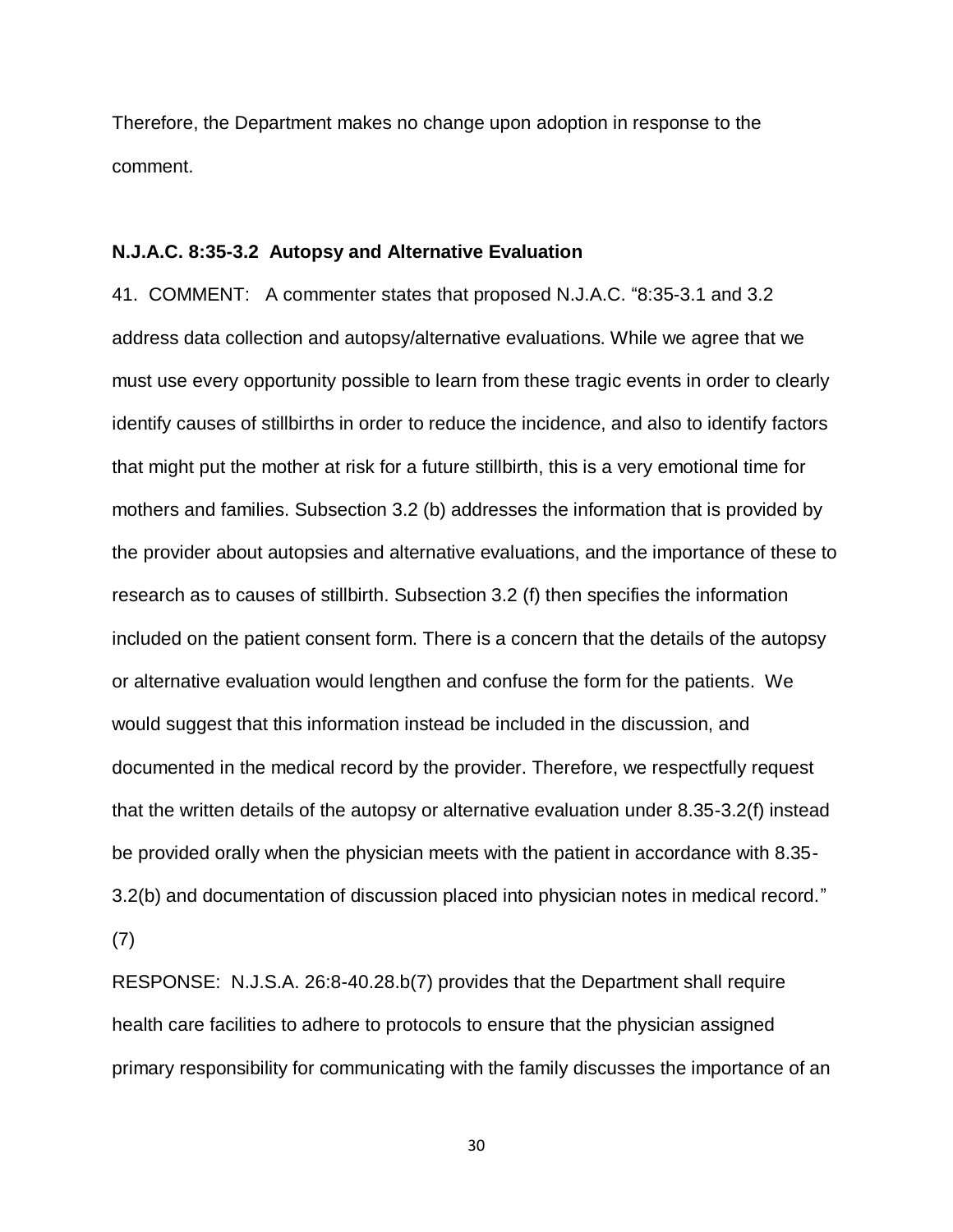Therefore, the Department makes no change upon adoption in response to the comment.

#### **N.J.A.C. 8:35-3.2 Autopsy and Alternative Evaluation**

41. COMMENT: A commenter states that proposed N.J.A.C. "8:35-3.1 and 3.2 address data collection and autopsy/alternative evaluations. While we agree that we must use every opportunity possible to learn from these tragic events in order to clearly identify causes of stillbirths in order to reduce the incidence, and also to identify factors that might put the mother at risk for a future stillbirth, this is a very emotional time for mothers and families. Subsection 3.2 (b) addresses the information that is provided by the provider about autopsies and alternative evaluations, and the importance of these to research as to causes of stillbirth. Subsection 3.2 (f) then specifies the information included on the patient consent form. There is a concern that the details of the autopsy or alternative evaluation would lengthen and confuse the form for the patients. We would suggest that this information instead be included in the discussion, and documented in the medical record by the provider. Therefore, we respectfully request that the written details of the autopsy or alternative evaluation under 8.35-3.2(f) instead be provided orally when the physician meets with the patient in accordance with 8.35- 3.2(b) and documentation of discussion placed into physician notes in medical record." (7)

RESPONSE: N.J.S.A. 26:8-40.28.b(7) provides that the Department shall require health care facilities to adhere to protocols to ensure that the physician assigned primary responsibility for communicating with the family discusses the importance of an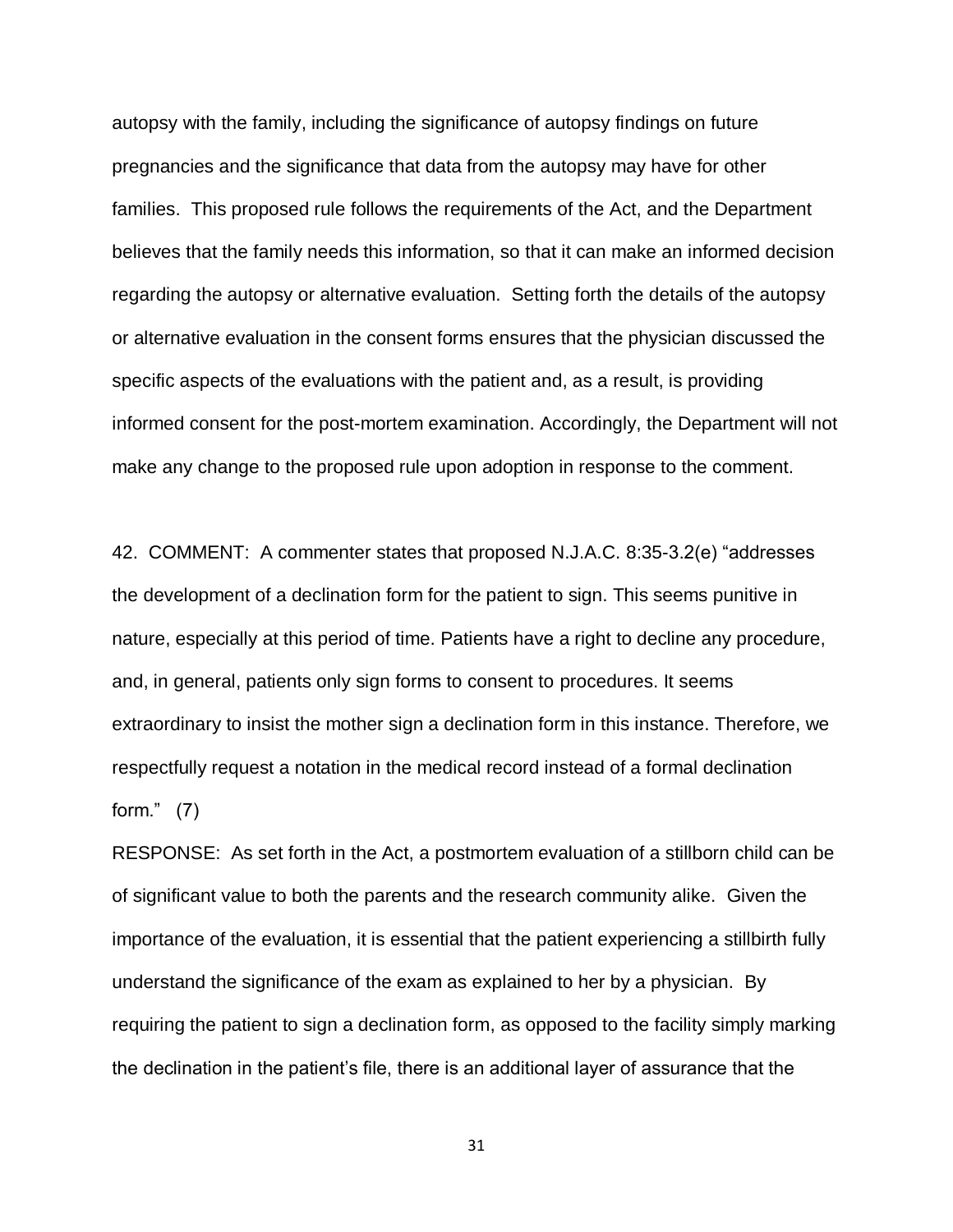autopsy with the family, including the significance of autopsy findings on future pregnancies and the significance that data from the autopsy may have for other families. This proposed rule follows the requirements of the Act, and the Department believes that the family needs this information, so that it can make an informed decision regarding the autopsy or alternative evaluation. Setting forth the details of the autopsy or alternative evaluation in the consent forms ensures that the physician discussed the specific aspects of the evaluations with the patient and, as a result, is providing informed consent for the post-mortem examination. Accordingly, the Department will not make any change to the proposed rule upon adoption in response to the comment.

42. COMMENT: A commenter states that proposed N.J.A.C. 8:35-3.2(e) "addresses the development of a declination form for the patient to sign. This seems punitive in nature, especially at this period of time. Patients have a right to decline any procedure, and, in general, patients only sign forms to consent to procedures. It seems extraordinary to insist the mother sign a declination form in this instance. Therefore, we respectfully request a notation in the medical record instead of a formal declination form." (7)

RESPONSE: As set forth in the Act, a postmortem evaluation of a stillborn child can be of significant value to both the parents and the research community alike. Given the importance of the evaluation, it is essential that the patient experiencing a stillbirth fully understand the significance of the exam as explained to her by a physician. By requiring the patient to sign a declination form, as opposed to the facility simply marking the declination in the patient's file, there is an additional layer of assurance that the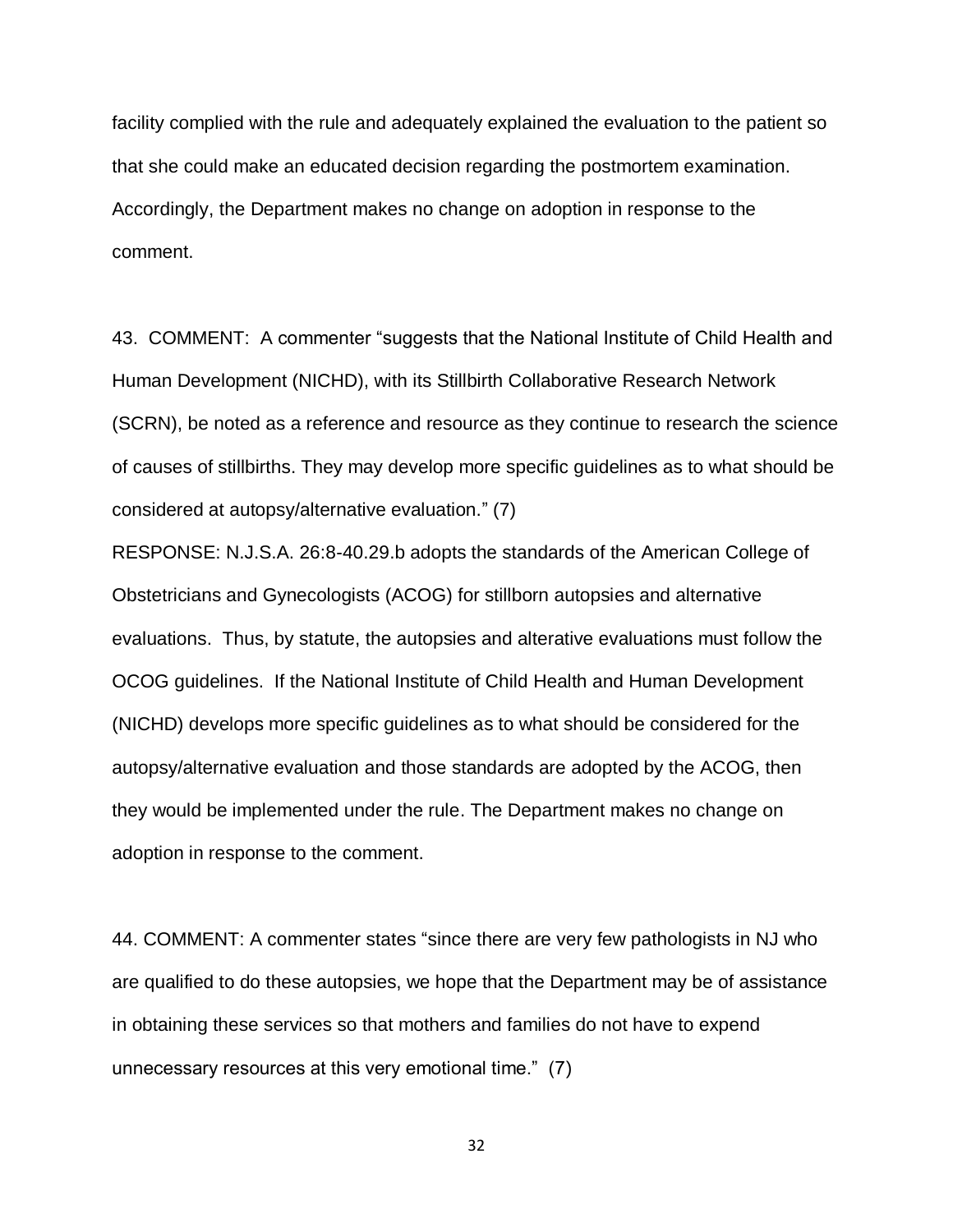facility complied with the rule and adequately explained the evaluation to the patient so that she could make an educated decision regarding the postmortem examination. Accordingly, the Department makes no change on adoption in response to the comment.

43. COMMENT: A commenter "suggests that the National Institute of Child Health and Human Development (NICHD), with its Stillbirth Collaborative Research Network (SCRN), be noted as a reference and resource as they continue to research the science of causes of stillbirths. They may develop more specific guidelines as to what should be considered at autopsy/alternative evaluation." (7)

RESPONSE: N.J.S.A. 26:8-40.29.b adopts the standards of the American College of Obstetricians and Gynecologists (ACOG) for stillborn autopsies and alternative evaluations. Thus, by statute, the autopsies and alterative evaluations must follow the OCOG guidelines. If the National Institute of Child Health and Human Development (NICHD) develops more specific guidelines as to what should be considered for the autopsy/alternative evaluation and those standards are adopted by the ACOG, then they would be implemented under the rule. The Department makes no change on adoption in response to the comment.

44. COMMENT: A commenter states "since there are very few pathologists in NJ who are qualified to do these autopsies, we hope that the Department may be of assistance in obtaining these services so that mothers and families do not have to expend unnecessary resources at this very emotional time." (7)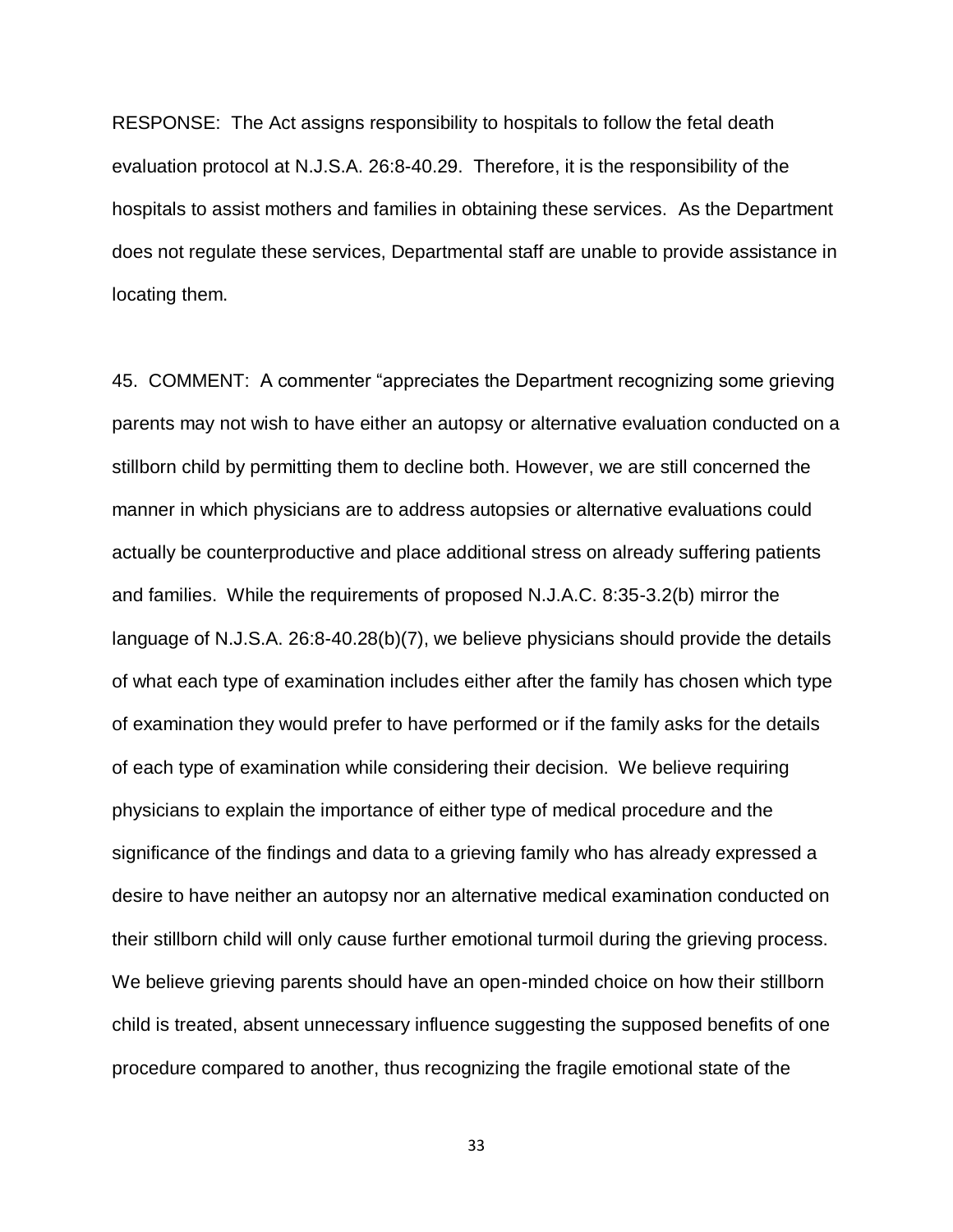RESPONSE: The Act assigns responsibility to hospitals to follow the fetal death evaluation protocol at N.J.S.A. 26:8-40.29. Therefore, it is the responsibility of the hospitals to assist mothers and families in obtaining these services. As the Department does not regulate these services, Departmental staff are unable to provide assistance in locating them.

45. COMMENT: A commenter "appreciates the Department recognizing some grieving parents may not wish to have either an autopsy or alternative evaluation conducted on a stillborn child by permitting them to decline both. However, we are still concerned the manner in which physicians are to address autopsies or alternative evaluations could actually be counterproductive and place additional stress on already suffering patients and families. While the requirements of proposed N.J.A.C. 8:35-3.2(b) mirror the language of N.J.S.A. 26:8-40.28(b)(7), we believe physicians should provide the details of what each type of examination includes either after the family has chosen which type of examination they would prefer to have performed or if the family asks for the details of each type of examination while considering their decision. We believe requiring physicians to explain the importance of either type of medical procedure and the significance of the findings and data to a grieving family who has already expressed a desire to have neither an autopsy nor an alternative medical examination conducted on their stillborn child will only cause further emotional turmoil during the grieving process. We believe grieving parents should have an open-minded choice on how their stillborn child is treated, absent unnecessary influence suggesting the supposed benefits of one procedure compared to another, thus recognizing the fragile emotional state of the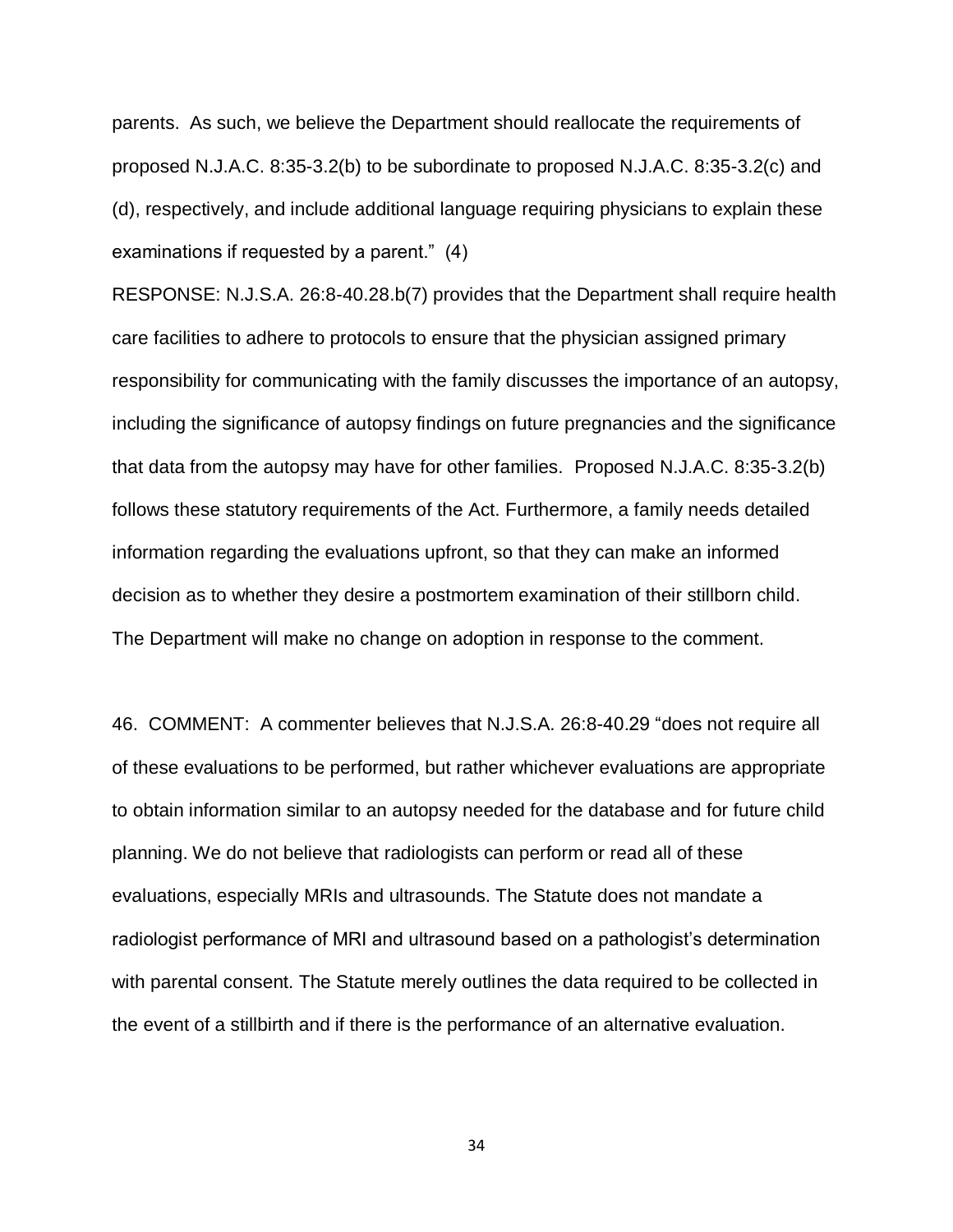parents. As such, we believe the Department should reallocate the requirements of proposed N.J.A.C. 8:35-3.2(b) to be subordinate to proposed N.J.A.C. 8:35-3.2(c) and (d), respectively, and include additional language requiring physicians to explain these examinations if requested by a parent." (4)

RESPONSE: N.J.S.A. 26:8-40.28.b(7) provides that the Department shall require health care facilities to adhere to protocols to ensure that the physician assigned primary responsibility for communicating with the family discusses the importance of an autopsy, including the significance of autopsy findings on future pregnancies and the significance that data from the autopsy may have for other families. Proposed N.J.A.C. 8:35-3.2(b) follows these statutory requirements of the Act. Furthermore, a family needs detailed information regarding the evaluations upfront, so that they can make an informed decision as to whether they desire a postmortem examination of their stillborn child. The Department will make no change on adoption in response to the comment.

46. COMMENT: A commenter believes that N.J.S.A. 26:8-40.29 "does not require all of these evaluations to be performed, but rather whichever evaluations are appropriate to obtain information similar to an autopsy needed for the database and for future child planning. We do not believe that radiologists can perform or read all of these evaluations, especially MRIs and ultrasounds. The Statute does not mandate a radiologist performance of MRI and ultrasound based on a pathologist's determination with parental consent. The Statute merely outlines the data required to be collected in the event of a stillbirth and if there is the performance of an alternative evaluation.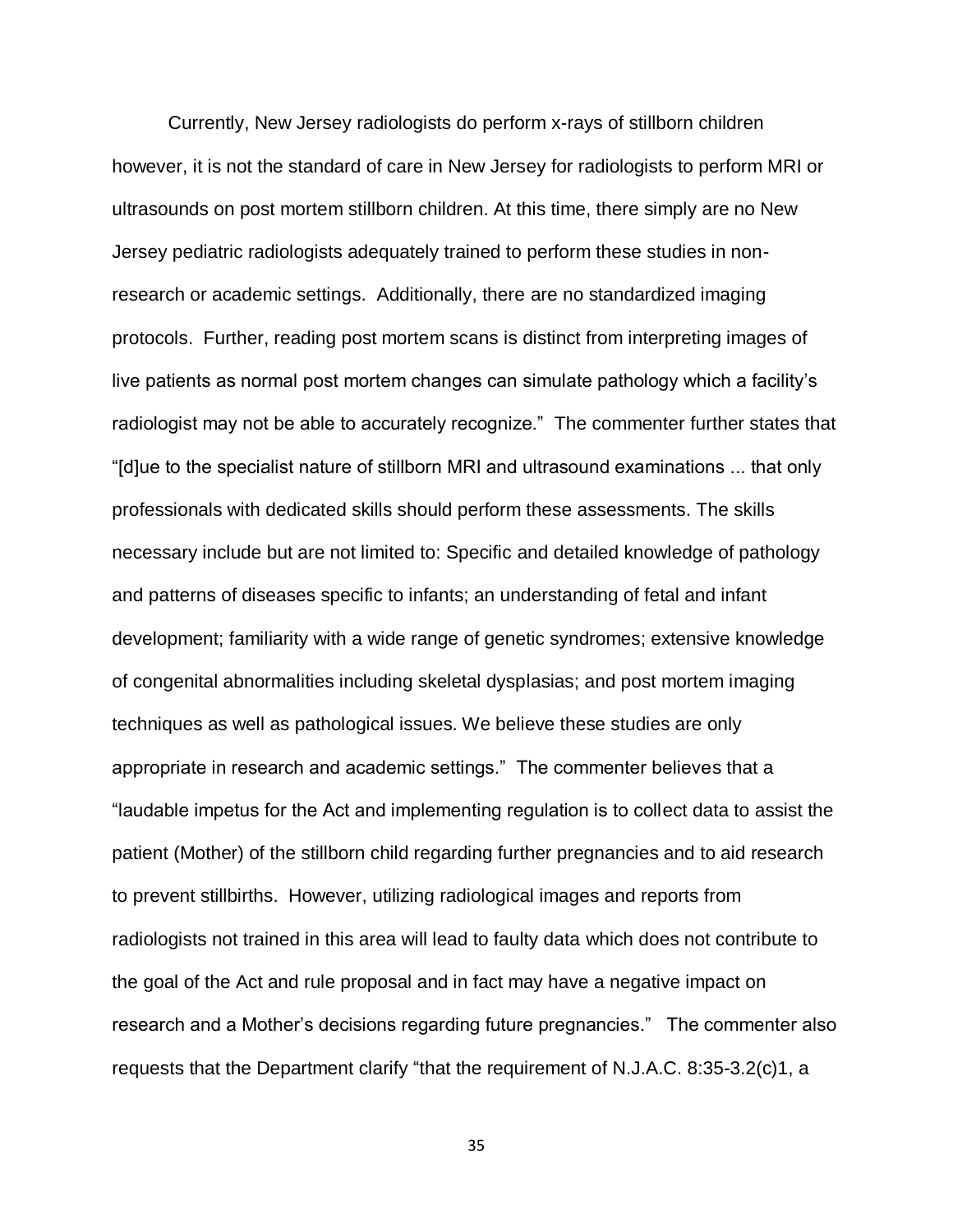Currently, New Jersey radiologists do perform x-rays of stillborn children however, it is not the standard of care in New Jersey for radiologists to perform MRI or ultrasounds on post mortem stillborn children. At this time, there simply are no New Jersey pediatric radiologists adequately trained to perform these studies in nonresearch or academic settings. Additionally, there are no standardized imaging protocols. Further, reading post mortem scans is distinct from interpreting images of live patients as normal post mortem changes can simulate pathology which a facility's radiologist may not be able to accurately recognize." The commenter further states that "[d]ue to the specialist nature of stillborn MRI and ultrasound examinations ... that only professionals with dedicated skills should perform these assessments. The skills necessary include but are not limited to: Specific and detailed knowledge of pathology and patterns of diseases specific to infants; an understanding of fetal and infant development; familiarity with a wide range of genetic syndromes; extensive knowledge of congenital abnormalities including skeletal dysplasias; and post mortem imaging techniques as well as pathological issues. We believe these studies are only appropriate in research and academic settings." The commenter believes that a "laudable impetus for the Act and implementing regulation is to collect data to assist the patient (Mother) of the stillborn child regarding further pregnancies and to aid research to prevent stillbirths. However, utilizing radiological images and reports from radiologists not trained in this area will lead to faulty data which does not contribute to the goal of the Act and rule proposal and in fact may have a negative impact on research and a Mother's decisions regarding future pregnancies." The commenter also requests that the Department clarify "that the requirement of N.J.A.C. 8:35-3.2(c)1, a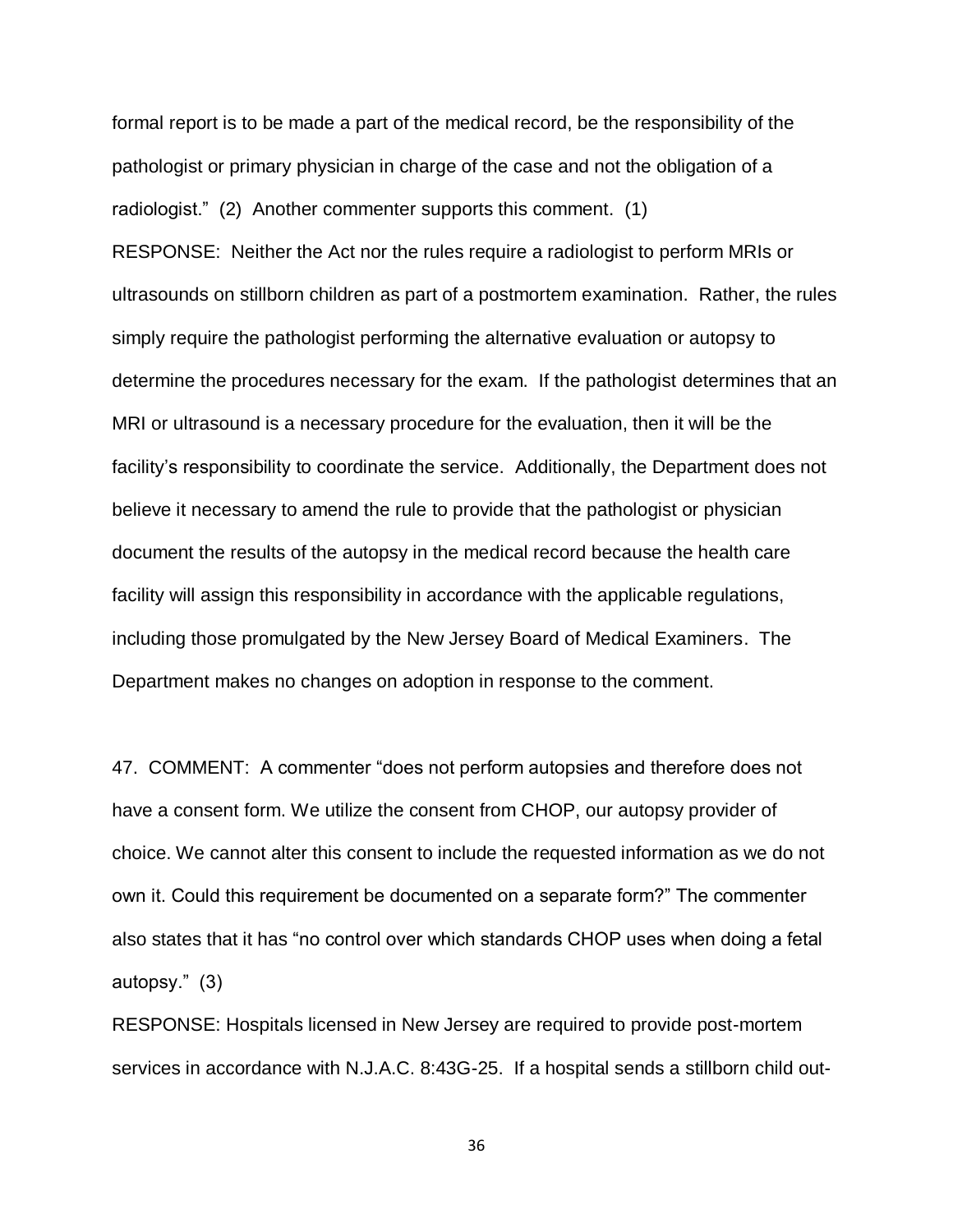formal report is to be made a part of the medical record, be the responsibility of the pathologist or primary physician in charge of the case and not the obligation of a radiologist." (2) Another commenter supports this comment. (1) RESPONSE: Neither the Act nor the rules require a radiologist to perform MRIs or ultrasounds on stillborn children as part of a postmortem examination. Rather, the rules simply require the pathologist performing the alternative evaluation or autopsy to determine the procedures necessary for the exam. If the pathologist determines that an MRI or ultrasound is a necessary procedure for the evaluation, then it will be the facility's responsibility to coordinate the service. Additionally, the Department does not believe it necessary to amend the rule to provide that the pathologist or physician document the results of the autopsy in the medical record because the health care facility will assign this responsibility in accordance with the applicable regulations, including those promulgated by the New Jersey Board of Medical Examiners. The Department makes no changes on adoption in response to the comment.

47. COMMENT: A commenter "does not perform autopsies and therefore does not have a consent form. We utilize the consent from CHOP, our autopsy provider of choice. We cannot alter this consent to include the requested information as we do not own it. Could this requirement be documented on a separate form?" The commenter also states that it has "no control over which standards CHOP uses when doing a fetal autopsy." (3)

RESPONSE: Hospitals licensed in New Jersey are required to provide post-mortem services in accordance with N.J.A.C. 8:43G-25. If a hospital sends a stillborn child out-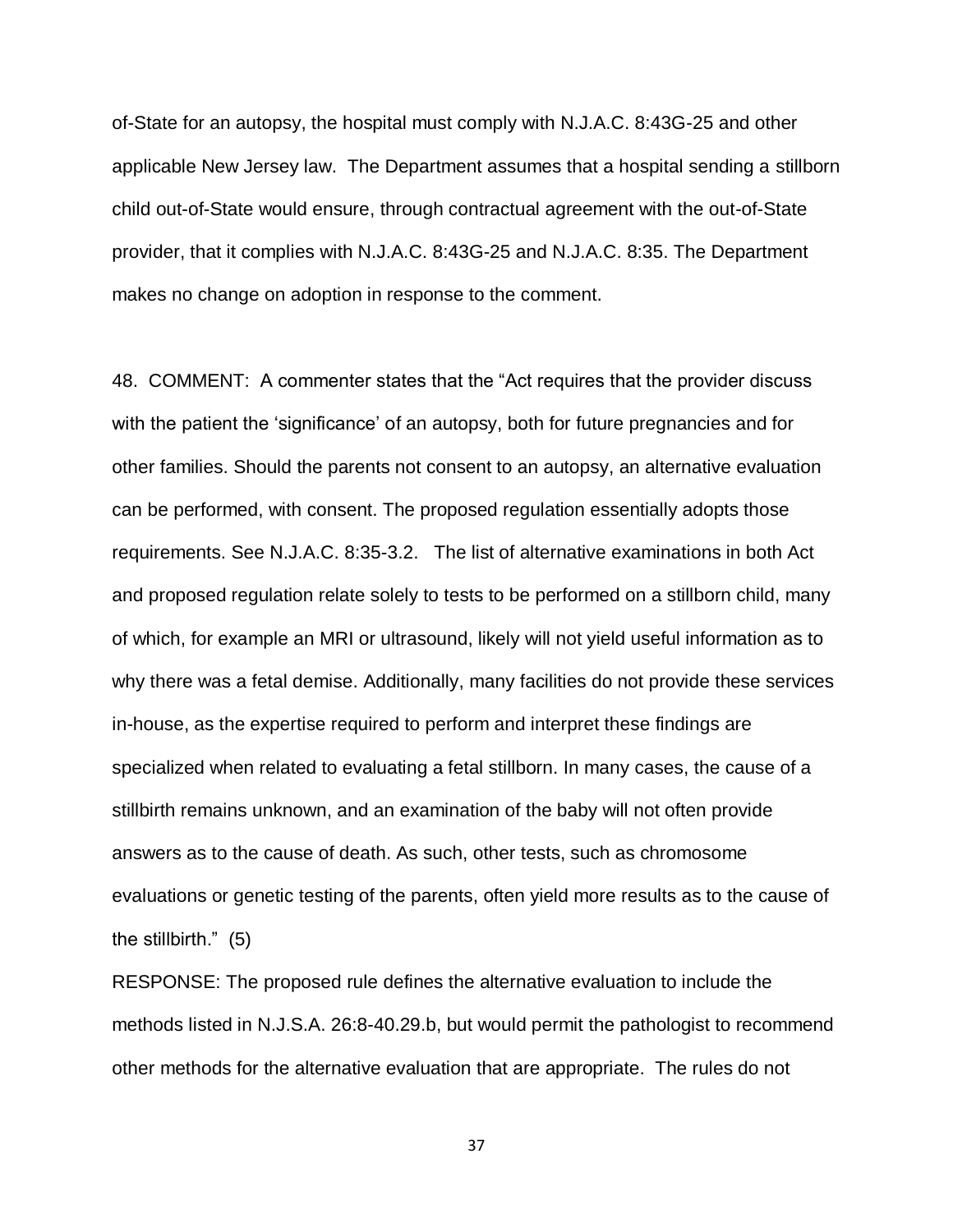of-State for an autopsy, the hospital must comply with N.J.A.C. 8:43G-25 and other applicable New Jersey law. The Department assumes that a hospital sending a stillborn child out-of-State would ensure, through contractual agreement with the out-of-State provider, that it complies with N.J.A.C. 8:43G-25 and N.J.A.C. 8:35. The Department makes no change on adoption in response to the comment.

48. COMMENT: A commenter states that the "Act requires that the provider discuss with the patient the 'significance' of an autopsy, both for future pregnancies and for other families. Should the parents not consent to an autopsy, an alternative evaluation can be performed, with consent. The proposed regulation essentially adopts those requirements. See N.J.A.C. 8:35-3.2. The list of alternative examinations in both Act and proposed regulation relate solely to tests to be performed on a stillborn child, many of which, for example an MRI or ultrasound, likely will not yield useful information as to why there was a fetal demise. Additionally, many facilities do not provide these services in-house, as the expertise required to perform and interpret these findings are specialized when related to evaluating a fetal stillborn. In many cases, the cause of a stillbirth remains unknown, and an examination of the baby will not often provide answers as to the cause of death. As such, other tests, such as chromosome evaluations or genetic testing of the parents, often yield more results as to the cause of the stillbirth." (5)

RESPONSE: The proposed rule defines the alternative evaluation to include the methods listed in N.J.S.A. 26:8-40.29.b, but would permit the pathologist to recommend other methods for the alternative evaluation that are appropriate. The rules do not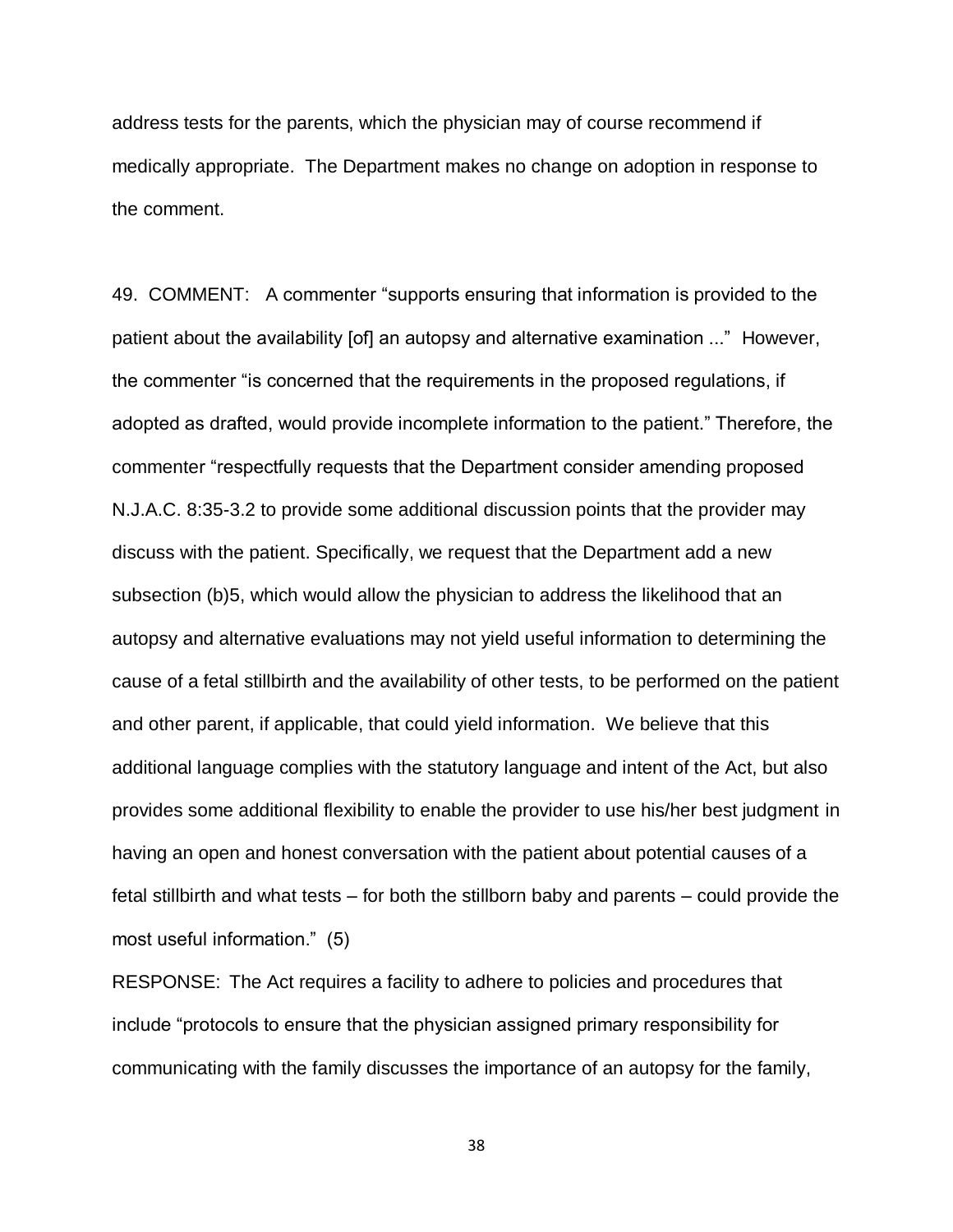address tests for the parents, which the physician may of course recommend if medically appropriate. The Department makes no change on adoption in response to the comment.

49. COMMENT: A commenter "supports ensuring that information is provided to the patient about the availability [of] an autopsy and alternative examination ..." However, the commenter "is concerned that the requirements in the proposed regulations, if adopted as drafted, would provide incomplete information to the patient." Therefore, the commenter "respectfully requests that the Department consider amending proposed N.J.A.C. 8:35-3.2 to provide some additional discussion points that the provider may discuss with the patient. Specifically, we request that the Department add a new subsection (b)5, which would allow the physician to address the likelihood that an autopsy and alternative evaluations may not yield useful information to determining the cause of a fetal stillbirth and the availability of other tests, to be performed on the patient and other parent, if applicable, that could yield information.We believe that this additional language complies with the statutory language and intent of the Act, but also provides some additional flexibility to enable the provider to use his/her best judgment in having an open and honest conversation with the patient about potential causes of a fetal stillbirth and what tests – for both the stillborn baby and parents – could provide the most useful information." (5)

RESPONSE: The Act requires a facility to adhere to policies and procedures that include "protocols to ensure that the physician assigned primary responsibility for communicating with the family discusses the importance of an autopsy for the family,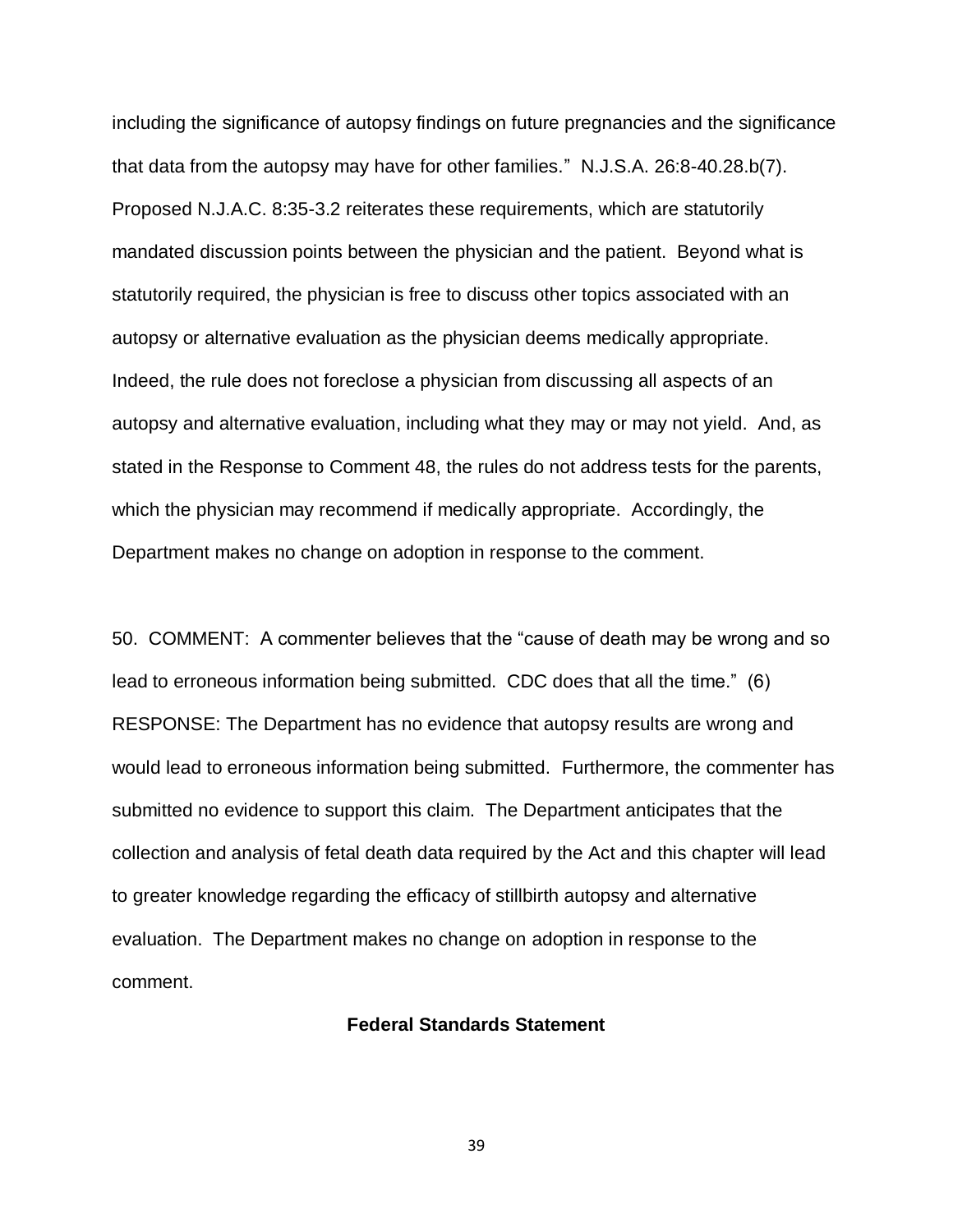including the significance of autopsy findings on future pregnancies and the significance that data from the autopsy may have for other families." N.J.S.A. 26:8-40.28.b(7). Proposed N.J.A.C. 8:35-3.2 reiterates these requirements, which are statutorily mandated discussion points between the physician and the patient. Beyond what is statutorily required, the physician is free to discuss other topics associated with an autopsy or alternative evaluation as the physician deems medically appropriate. Indeed, the rule does not foreclose a physician from discussing all aspects of an autopsy and alternative evaluation, including what they may or may not yield. And, as stated in the Response to Comment 48, the rules do not address tests for the parents, which the physician may recommend if medically appropriate. Accordingly, the Department makes no change on adoption in response to the comment.

50. COMMENT: A commenter believes that the "cause of death may be wrong and so lead to erroneous information being submitted. CDC does that all the time." (6) RESPONSE: The Department has no evidence that autopsy results are wrong and would lead to erroneous information being submitted. Furthermore, the commenter has submitted no evidence to support this claim. The Department anticipates that the collection and analysis of fetal death data required by the Act and this chapter will lead to greater knowledge regarding the efficacy of stillbirth autopsy and alternative evaluation. The Department makes no change on adoption in response to the comment.

### **Federal Standards Statement**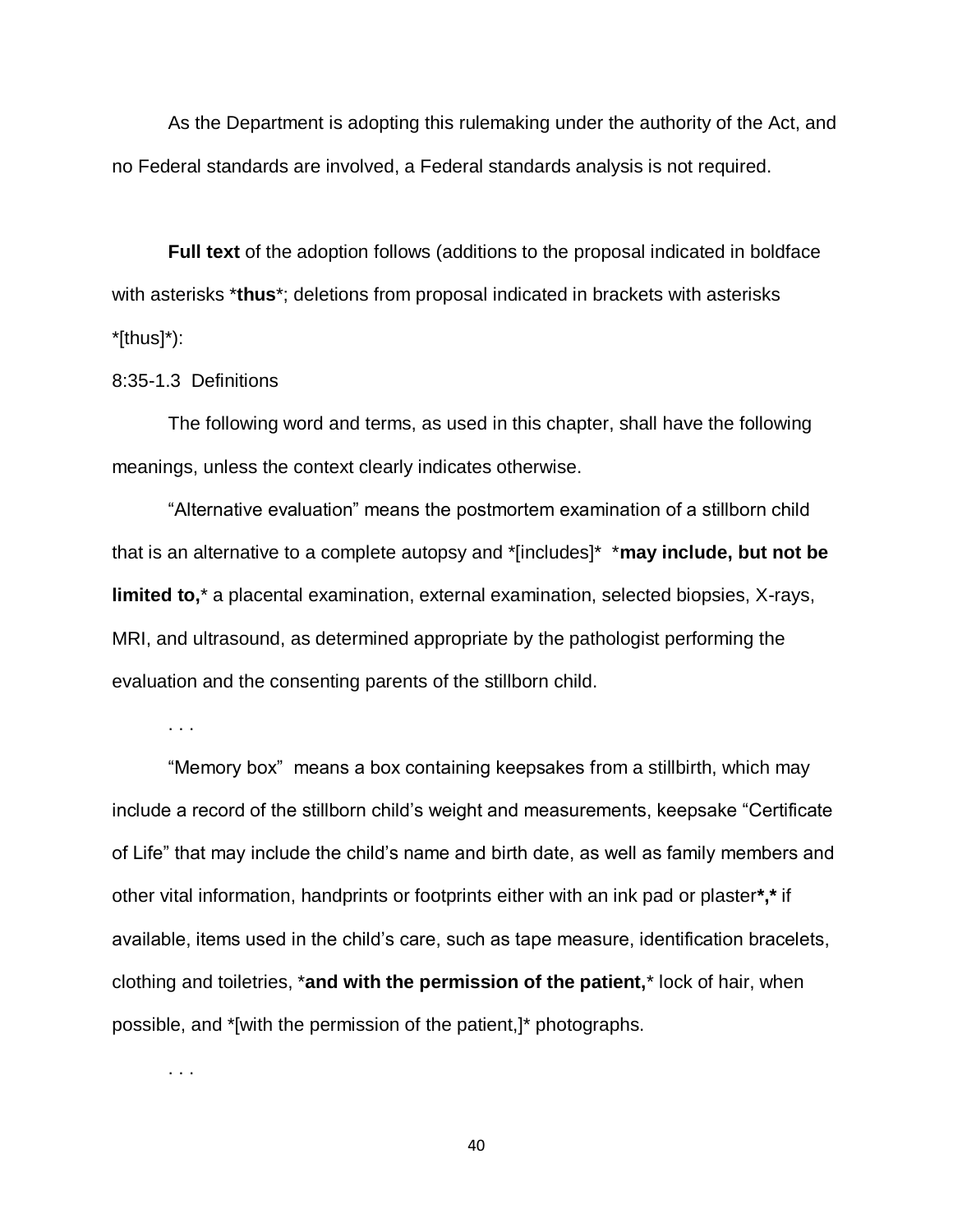As the Department is adopting this rulemaking under the authority of the Act, and no Federal standards are involved, a Federal standards analysis is not required.

**Full text** of the adoption follows (additions to the proposal indicated in boldface with asterisks \***thus**\*; deletions from proposal indicated in brackets with asterisks \*[thus]\*):

#### 8:35-1.3 Definitions

The following word and terms, as used in this chapter, shall have the following meanings, unless the context clearly indicates otherwise.

"Alternative evaluation" means the postmortem examination of a stillborn child that is an alternative to a complete autopsy and \*[includes]\* \***may include, but not be limited to,**\* a placental examination, external examination, selected biopsies, X-rays, MRI, and ultrasound, as determined appropriate by the pathologist performing the evaluation and the consenting parents of the stillborn child.

. . .

"Memory box" means a box containing keepsakes from a stillbirth, which may include a record of the stillborn child's weight and measurements, keepsake "Certificate of Life" that may include the child's name and birth date, as well as family members and other vital information, handprints or footprints either with an ink pad or plaster**\*,\*** if available, items used in the child's care, such as tape measure, identification bracelets, clothing and toiletries, \***and with the permission of the patient,**\* lock of hair, when possible, and \*[with the permission of the patient,]\* photographs.

. . .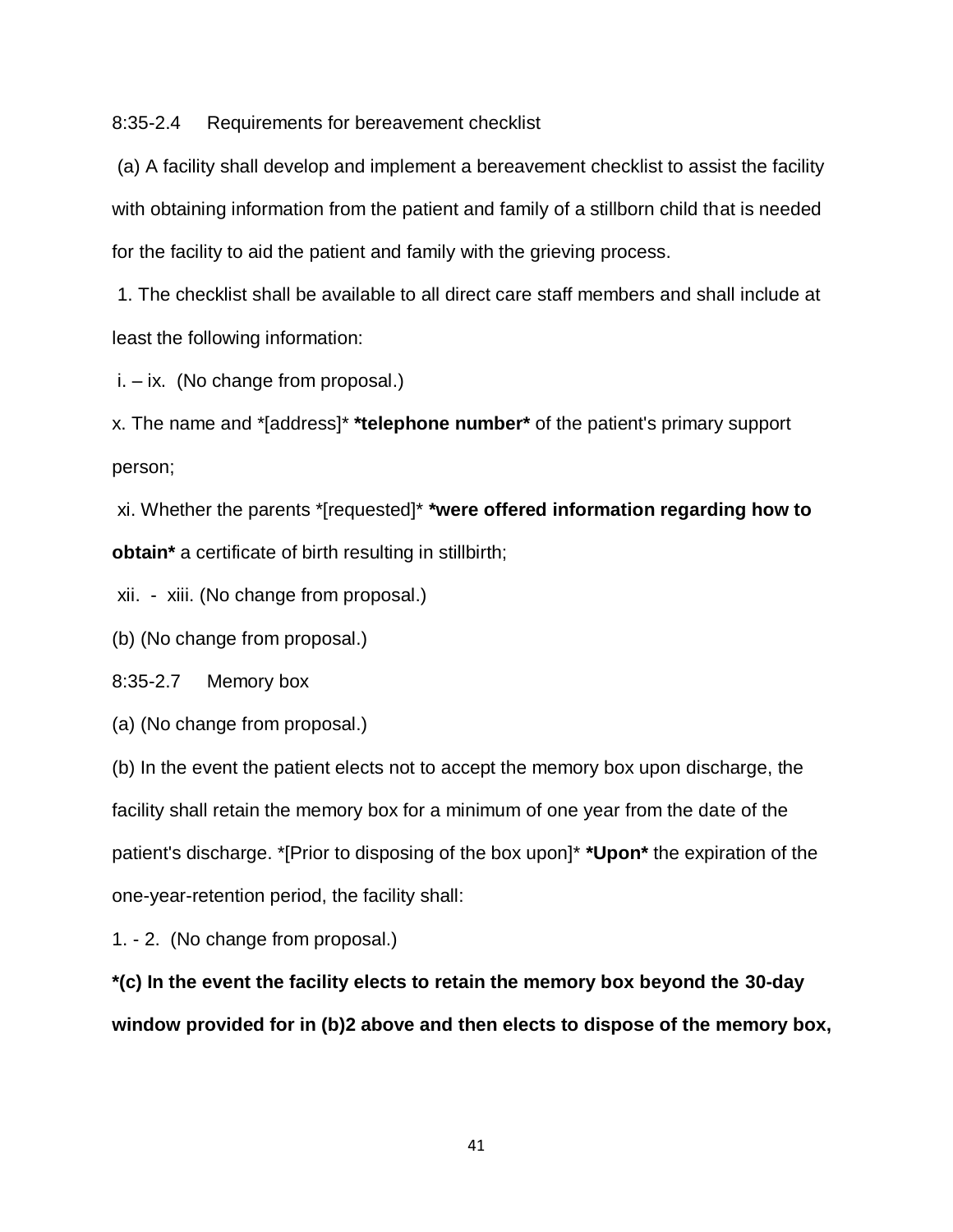8:35-2.4 Requirements for bereavement checklist

(a) A facility shall develop and implement a bereavement checklist to assist the facility with obtaining information from the patient and family of a stillborn child that is needed for the facility to aid the patient and family with the grieving process.

1. The checklist shall be available to all direct care staff members and shall include at least the following information:

i. – ix. (No change from proposal.)

x. The name and \*[address]\* **\*telephone number\*** of the patient's primary support person;

xi. Whether the parents \*[requested]\* **\*were offered information regarding how to obtain\*** a certificate of birth resulting in stillbirth;

xii. - xiii. (No change from proposal.)

(b) (No change from proposal.)

8:35-2.7 Memory box

(a) (No change from proposal.)

(b) In the event the patient elects not to accept the memory box upon discharge, the facility shall retain the memory box for a minimum of one year from the date of the patient's discharge. \*[Prior to disposing of the box upon]\* **\*Upon\*** the expiration of the one-year-retention period, the facility shall:

1. - 2. (No change from proposal.)

**\*(c) In the event the facility elects to retain the memory box beyond the 30-day window provided for in (b)2 above and then elects to dispose of the memory box,**